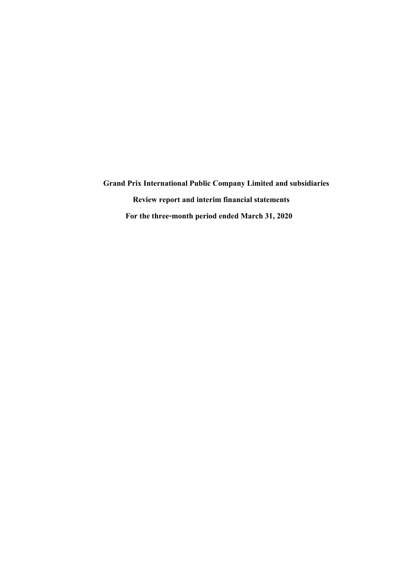**Grand Prix International Public Company Limitedand subsidiaries Review report and interim financial statements For the three-month period ended March31, 2020**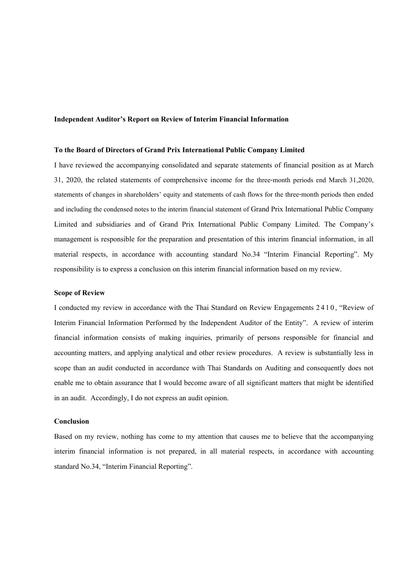# **Independent Auditor's Report on Review of Interim Financial Information**

# **To the Board of Directors of Grand Prix International Public Company Limited**

I have reviewed the accompanying consolidated and separate statements of financial position as at March 31, 2020, the related statements of comprehensive income for the three-month periods end March 31,2020, statements of changes in shareholders' equity and statements of cash flows for the three-month periods then ended and including the condensed notes to the interim financial statement of Grand Prix International Public Company Limited and subsidiaries and of Grand Prix International Public Company Limited. The Company's management is responsible for the preparation and presentation of this interim financial information, in all material respects, in accordance with accounting standard No.34 "Interim Financial Reporting". My responsibility is to express a conclusion on this interim financial information based on my review.

### **Scope of Review**

I conducted my review in accordance with the Thai Standard on Review Engagements 2 4 1 0, "Review of Interim Financial Information Performed by the Independent Auditor of the Entity". A review of interim financial information consists of making inquiries, primarily of persons responsible for financial and accounting matters, and applying analytical and other review procedures. A review is substantially less in scope than an audit conducted in accordance with Thai Standards on Auditing and consequently does not enable me to obtain assurance that I would become aware of all significant matters that might be identified in an audit. Accordingly, I do not express an audit opinion.

# **Conclusion**

Based on my review, nothing has come to my attention that causes me to believe that the accompanying interim financial information is not prepared, in all material respects, in accordance with accounting standard No.34, "Interim Financial Reporting".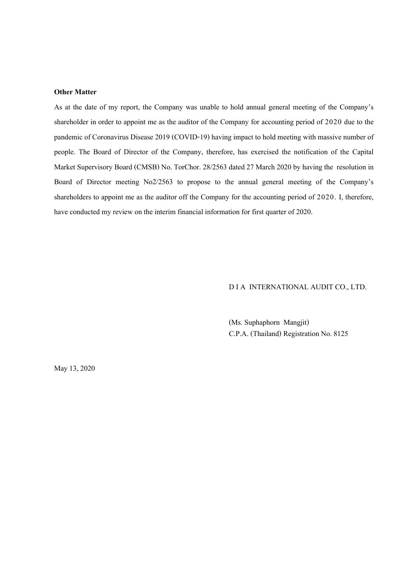# **Other Matter**

As at the date of my report, the Company was unable to hold annual general meeting of the Company's shareholder in order to appoint me as the auditor of the Company for accounting period of 2020 due to the pandemic of Coronavirus Disease 2019 (COVID-19) having impact to hold meeting with massive number of people. The Board of Director of the Company, therefore, has exercised the notification of the Capital Market Supervisory Board (CMSB) No. TorChor. 28/2563 dated 27 March 2020 by having the resolution in Board of Director meeting No2/2563 to propose to the annual general meeting of the Company's shareholders to appoint me as the auditor off the Company for the accounting period of 2020. I, therefore, have conducted my review on the interim financial information for first quarter of 2020.

# D I A INTERNATIONAL AUDIT CO., LTD.

(Ms.Suphaphorn Mangjit) C.P.A. (Thailand) Registration No. 8125

May13, 2020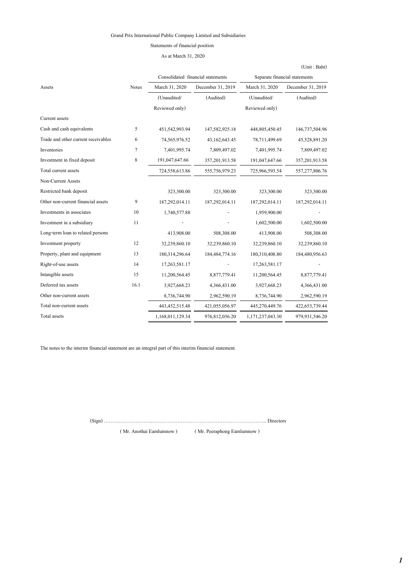# Statements of financial position

As at March 31, 2020

|                                     |              |                                   |                   |                  | (Unit: Baht)                  |
|-------------------------------------|--------------|-----------------------------------|-------------------|------------------|-------------------------------|
|                                     |              | Consolidated financial statements |                   |                  | Separate financial statements |
| Assets                              | <b>Notes</b> | March 31, 2020                    | December 31, 2019 | March 31, 2020   | December 31, 2019             |
|                                     |              | (Unaudited/                       | (Audited)         | (Unaudited/      | (Audited)                     |
|                                     |              | Reviewed only)                    |                   | Reviewed only)   |                               |
| Current assets                      |              |                                   |                   |                  |                               |
| Cash and cash equivalents           | 5            | 451,542,993.94                    | 147,582,925.18    | 448,805,450.45   | 146,737,504.96                |
| Trade and other current receivables | 6            | 74,565,976.52                     | 43,162,643.45     | 78,711,499.69    | 45,528,891.20                 |
| Inventories                         | 7            | 7,401,995.74                      | 7,809,497.02      | 7,401,995.74     | 7,809,497.02                  |
| Investment in fixed deposit         | 8            | 191,047,647.66                    | 357,201,913.58    | 191,047,647.66   | 357, 201, 913.58              |
| Total current assets                |              | 724,558,613.86                    | 555,756,979.23    | 725,966,593.54   | 557,277,806.76                |
| Non-Current Assets                  |              |                                   |                   |                  |                               |
| Restricted bank deposit             |              | 323,300.00                        | 323,300.00        | 323,300.00       | 323,300.00                    |
| Other non-current financial assets  | 9            | 187,292,014.11                    | 187,292,014.11    | 187,292,014.11   | 187,292,014.11                |
| Investments in associates           | 10           | 1,740,577.88                      |                   | 1,959,900.00     |                               |
| Investment in a subsidiary          | 11           |                                   |                   | 1,602,500.00     | 1,602,500.00                  |
| Long-term loan to related persons   |              | 413,908.00                        | 508,308.00        | 413,908.00       | 508,308.00                    |
| Investment property                 | 12           | 32,239,860.10                     | 32,239,860.10     | 32,239,860.10    | 32,239,860.10                 |
| Property, plant and equipment       | 13           | 180,314,296.64                    | 184, 484, 774. 16 | 180,310,408.80   | 184,480,956.63                |
| Right-of-use assets                 | 14           | 17,263,581.17                     |                   | 17,263,581.17    |                               |
| Intangible assets                   | 15           | 11,200,564.45                     | 8,877,779.41      | 11,200,564.45    | 8,877,779.41                  |
| Deferred tax assets                 | 16.1         | 3,927,668.23                      | 4,366,431.00      | 3,927,668.23     | 4,366,431.00                  |
| Other non-current assets            |              | 8,736,744.90                      | 2,962,590.19      | 8,736,744.90     | 2,962,590.19                  |
| Total non-current assets            |              | 443, 452, 515. 48                 | 421,055,056.97    | 445,270,449.76   | 422, 653, 739. 44             |
| Total assets                        |              | 1,168,011,129.34                  | 976,812,036.20    | 1,171,237,043.30 | 979,931,546.20                |

The notes to the interim financial statement are an integral part of this interim financial statement.

(Sign) ………………………...…………………………………………………………... Directors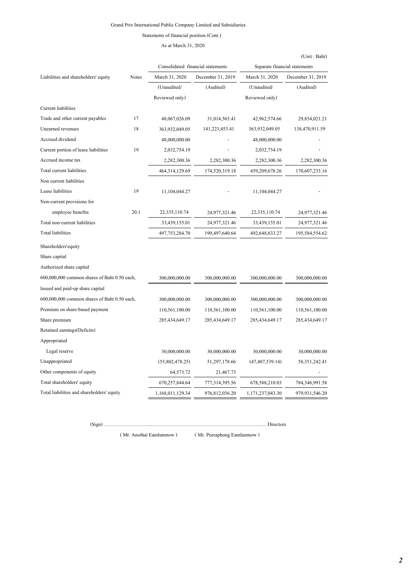Statements of financial position (Cont.)

# As at March 31, 2020

|                                              |              |                  |                                   |                    | (Unit : Baht)                 |
|----------------------------------------------|--------------|------------------|-----------------------------------|--------------------|-------------------------------|
|                                              |              |                  | Consolidated financial statements |                    | Separate financial statements |
| Liabilities and shareholders' equity         | <b>Notes</b> | March 31, 2020   | December 31, 2019                 | March 31, 2020     | December 31, 2019             |
|                                              |              | (Unaudited/      | (Audited)                         | (Unaudited/        | (Audited)                     |
|                                              |              | Reviewed only)   |                                   | Reviewed only)     |                               |
| Current liabilities                          |              |                  |                                   |                    |                               |
| Trade and other current payables             | 17           | 48,067,026.09    | 31,014,565.41                     | 42,962,574.66      | 29,854,021.21                 |
| Unearned revenues                            | 18           | 363,932,049.05   | 141,223,453.41                    | 363,932,049.05     | 138,470,911.59                |
| Accrued dividend                             |              | 48,000,000.00    |                                   | 48,000,000.00      |                               |
| Current portion of lease liabilities         | 19           | 2,032,754.19     |                                   | 2,032,754.19       |                               |
| Accrued income tax                           |              | 2,282,300.36     | 2,282,300.36                      | 2,282,300.36       | 2,282,300.36                  |
| Total current liabilities                    |              | 464,314,129.69   | 174,520,319.18                    | 459,209,678.26     | 170,607,233.16                |
| Non current liabilities                      |              |                  |                                   |                    |                               |
| Lease liabilities                            | 19           | 11,104,044.27    |                                   | 11,104,044.27      |                               |
| Non-current provisions for                   |              |                  |                                   |                    |                               |
| employee benefits                            | 20.1         | 22, 335, 110.74  | 24,977,321.46                     | 22,335,110.74      | 24,977,321.46                 |
| Total non-current liabilities                |              | 33,439,155.01    | 24,977,321.46                     | 33,439,155.01      | 24,977,321.46                 |
| <b>Total liabilities</b>                     |              | 497,753,284.70   | 199,497,640.64                    | 492,648,833.27     | 195,584,554.62                |
| Shareholders' equity                         |              |                  |                                   |                    |                               |
| Share capital                                |              |                  |                                   |                    |                               |
| Authorized share capital                     |              |                  |                                   |                    |                               |
| 600,000,000 common shares of Baht 0.50 each, |              | 300,000,000.00   | 300,000,000.00                    | 300,000,000.00     | 300,000,000.00                |
| Issued and paid-up share capital             |              |                  |                                   |                    |                               |
| 600,000,000 common shares of Baht 0.50 each, |              | 300,000,000.00   | 300,000,000.00                    | 300,000,000.00     | 300,000,000.00                |
| Premium on share-based payment               |              | 110,561,100.00   | 110,561,100.00                    | 110,561,100.00     | 110,561,100.00                |
| Share premium                                |              | 285,434,649.17   | 285,434,649.17                    | 285,434,649.17     | 285, 434, 649. 17             |
| Retained earnings (Deficits)                 |              |                  |                                   |                    |                               |
| Appropriated                                 |              |                  |                                   |                    |                               |
| Legal reserve                                |              | 30,000,000.00    | 30,000,000.00                     | 30,000,000.00      | 30,000,000.00                 |
| Unappropriated                               |              | (55,802,478.25)  | 51,297,178.66                     | (47, 407, 539, 14) | 58, 351, 242. 41              |
| Other components of equity                   |              | 64,573.72        | 21,467.73                         |                    |                               |
| Total shareholders' equity                   |              | 670,257,844.64   | 777,314,395.56                    | 678,588,210.03     | 784,346,991.58                |
| Total liabilities and shareholders' equity   |              | 1,168,011,129.34 | 976,812,036.20                    | 1,171,237,043.30   | 979,931,546.20                |

(Sign) ………………………...…………………………………………………………... Directors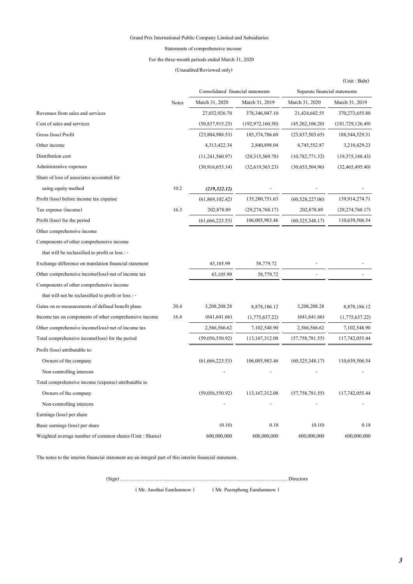### Statements of comprehensive income

# For the three-month periods ended March 31, 2020

### (Unaudited/Reviewed only)

|                                                         |              | Consolidated financial statements |                    | Separate financial statements |                    |
|---------------------------------------------------------|--------------|-----------------------------------|--------------------|-------------------------------|--------------------|
|                                                         | <b>Notes</b> | March 31, 2020                    | March 31, 2019     | March 31, 2020                | March 31, 2019     |
| Revenues from sales and services                        |              | 27,032,926.70                     | 378,346,947.10     | 21,424,602.55                 | 370,273,655.80     |
| Cost of sales and services                              |              | (50, 837, 915.23)                 | (192, 972, 160.50) | (45,262,106.20)               | (181, 729, 126.49) |
| Gross (loss) Profit                                     |              | (23,804,988.53)                   | 185, 374, 786.60   | (23,837,503.65)               | 188,544,529.31     |
| Other income                                            |              | 4,313,422.34                      | 2,840,898.04       | 4,745,552.87                  | 3,210,429.23       |
| Distribution cost                                       |              | (11,241,560.97)                   | (20,315,569.78)    | (10, 782, 771.32)             | (19,375,188.43)    |
| Administrative expenses                                 |              | (30,916,653,14)                   | (32,619,363.23)    | (30,653,504.96)               | (32, 465, 495, 40) |
| Share of loss of associates accounted for               |              |                                   |                    |                               |                    |
| using equity method                                     | 10.2         | (219, 322.12)                     |                    |                               |                    |
| Profit (loss) before income tax expense                 |              | (61,869,102.42)                   | 135,280,751.63     | (60, 528, 227.06)             | 139,914,274.71     |
| Tax expense (income)                                    | 16.3         | 202,878.89                        | (29, 274, 768.17)  | 202,878.89                    | (29, 274, 768.17)  |
| Profit (loss) for the period                            |              | (61, 666, 223.53)                 | 106,005,983.46     | (60, 325, 348.17)             | 110,639,506.54     |
| Other comprehensive income                              |              |                                   |                    |                               |                    |
| Components of other comprehensive income                |              |                                   |                    |                               |                    |
| that will be reclassified to profit or loss : -         |              |                                   |                    |                               |                    |
| Exchange difference on translation financial statement  |              | 43,105.99                         | 58,779.72          |                               |                    |
| Other comprehensive income(loss)-net of income tax      |              | 43,105.99                         | 58,779.72          |                               |                    |
| Components of other comprehensive income                |              |                                   |                    |                               |                    |
| that will not be reclassified to profit or loss : -     |              |                                   |                    |                               |                    |
| Gains on re-measurements of defined benefit plans       | 20.4         | 3,208,208.28                      | 8,878,186.12       | 3,208,208.28                  | 8,878,186.12       |
| Income tax on components of other comprehensive income  | 16.4         | (641, 641.66)                     | (1,775,637.22)     | (641, 641.66)                 | (1,775,637.22)     |
| Other comprehensive income(loss)-net of income tax      |              | 2,566,566.62                      | 7,102,548.90       | 2,566,566.62                  | 7,102,548.90       |
| Total comprehensive income(loss) for the period         |              | (59,056,550.92)                   | 113, 167, 312.08   | (57, 758, 781.55)             | 117,742,055.44     |
| Profit (loss) attributable to:                          |              |                                   |                    |                               |                    |
| Owners of the company                                   |              | (61, 666, 223.53)                 | 106,005,983.46     | (60, 325, 348.17)             | 110,639,506.54     |
| Non-controlling interests                               |              |                                   |                    |                               |                    |
| Total comprehensive income (expense) attributable to    |              |                                   |                    |                               |                    |
| Owners of the company                                   |              | (59,056,550.92)                   | 113, 167, 312.08   | (57, 758, 781.55)             | 117,742,055.44     |
| Non-controlling interests                               |              |                                   |                    |                               |                    |
| Earnings (loss) per share                               |              |                                   |                    |                               |                    |
| Basic earnings (loss) per share                         |              | (0.10)                            | 0.18               | (0.10)                        | 0.18               |
| Weighted average number of common shares (Unit: Shares) |              | 600,000,000                       | 600,000,000        | 600,000,000                   | 600,000,000        |

The notes to the interim financial statement are an integral part of this interim financial statement.

(Sign) ………………………...…………………………………………………………... Directors

( Mr. Anothai Eamlumnow ) ( Mr. Peeraphong Eamlumnow )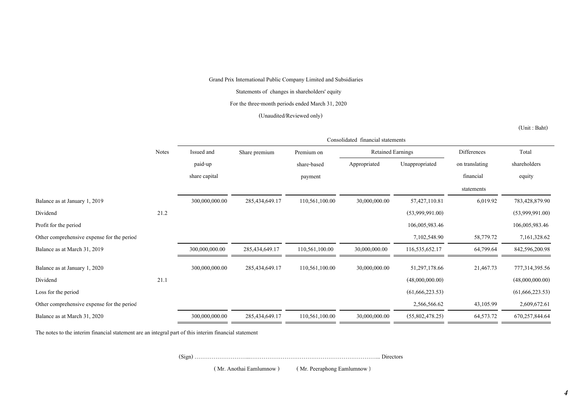Statements of changes in shareholders' equity

For the three-month periods ended March 31, 2020

(Unaudited/Reviewed only)

(Unit : Baht)

|                                            |              | Consolidated financial statements |                |                |                          |                   |                |                   |
|--------------------------------------------|--------------|-----------------------------------|----------------|----------------|--------------------------|-------------------|----------------|-------------------|
|                                            | <b>Notes</b> | Issued and                        | Share premium  | Premium on     | <b>Retained Earnings</b> |                   | Differences    | Total             |
|                                            |              | paid-up                           |                | share-based    | Appropriated             | Unappropriated    | on translating | shareholders      |
|                                            |              | share capital                     |                | payment        |                          |                   | financial      | equity            |
|                                            |              |                                   |                |                |                          |                   | statements     |                   |
| Balance as at January 1, 2019              |              | 300,000,000.00                    | 285,434,649.17 | 110,561,100.00 | 30,000,000.00            | 57,427,110.81     | 6,019.92       | 783,428,879.90    |
| Dividend                                   | 21.2         |                                   |                |                |                          | (53,999,991.00)   |                | (53,999,991.00)   |
| Profit for the period                      |              |                                   |                |                |                          | 106,005,983.46    |                | 106,005,983.46    |
| Other comprehensive expense for the period |              |                                   |                |                |                          | 7,102,548.90      | 58,779.72      | 7,161,328.62      |
| Balance as at March 31, 2019               |              | 300,000,000.00                    | 285,434,649.17 | 110,561,100.00 | 30,000,000.00            | 116,535,652.17    | 64,799.64      | 842,596,200.98    |
| Balance as at January 1, 2020              |              | 300,000,000.00                    | 285,434,649.17 | 110,561,100.00 | 30,000,000.00            | 51,297,178.66     | 21,467.73      | 777,314,395.56    |
| Dividend                                   | 21.1         |                                   |                |                |                          | (48,000,000.00)   |                | (48,000,000.00)   |
| Loss for the period                        |              |                                   |                |                |                          | (61, 666, 223.53) |                | (61, 666, 223.53) |
| Other comprehensive expense for the period |              |                                   |                |                |                          | 2,566,566.62      | 43,105.99      | 2,609,672.61      |
| Balance as at March 31, 2020               |              | 300,000,000.00                    | 285,434,649.17 | 110,561,100.00 | 30,000,000.00            | (55,802,478.25)   | 64,573.72      | 670,257,844.64    |

The notes to the interim financial statement are an integral part of this interim financial statement

(Sign) ………………………...…………………………………………………………... Directors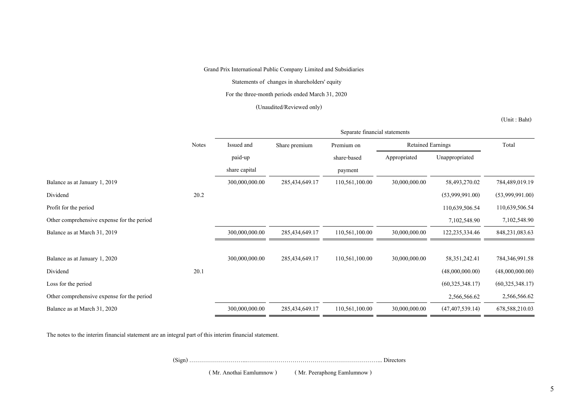Statements of changes in shareholders' equity

For the three-month periods ended March 31, 2020

# (Unaudited/Reviewed only)

(Unit : Baht)

|                                            |              | Separate financial statements |                |                |                          |                    |                   |  |
|--------------------------------------------|--------------|-------------------------------|----------------|----------------|--------------------------|--------------------|-------------------|--|
|                                            | <b>Notes</b> | Issued and                    | Share premium  | Premium on     | <b>Retained Earnings</b> |                    | Total             |  |
|                                            |              | paid-up                       |                | share-based    | Appropriated             | Unappropriated     |                   |  |
|                                            |              | share capital                 |                | payment        |                          |                    |                   |  |
| Balance as at January 1, 2019              |              | 300,000,000.00                | 285,434,649.17 | 110,561,100.00 | 30,000,000.00            | 58,493,270.02      | 784,489,019.19    |  |
| Dividend                                   | 20.2         |                               |                |                |                          | (53,999,991.00)    | (53,999,991.00)   |  |
| Profit for the period                      |              |                               |                |                |                          | 110,639,506.54     | 110,639,506.54    |  |
| Other comprehensive expense for the period |              |                               |                |                |                          | 7,102,548.90       | 7,102,548.90      |  |
| Balance as at March 31, 2019               |              | 300,000,000.00                | 285,434,649.17 | 110,561,100.00 | 30,000,000.00            | 122, 235, 334. 46  | 848, 231, 083. 63 |  |
| Balance as at January 1, 2020              |              | 300,000,000.00                | 285,434,649.17 | 110,561,100.00 | 30,000,000.00            | 58, 351, 242. 41   | 784,346,991.58    |  |
| Dividend                                   | 20.1         |                               |                |                |                          | (48,000,000.00)    | (48,000,000.00)   |  |
| Loss for the period                        |              |                               |                |                |                          | (60,325,348,17)    | (60, 325, 348.17) |  |
| Other comprehensive expense for the period |              |                               |                |                |                          | 2,566,566.62       | 2,566,566.62      |  |
| Balance as at March 31, 2020               |              | 300,000,000.00                | 285,434,649.17 | 110,561,100.00 | 30,000,000.00            | (47, 407, 539, 14) | 678,588,210.03    |  |

The notes to the interim financial statement are an integral part of this interim financial statement.

(Sign) ………………………...…………………………………………………………... Directors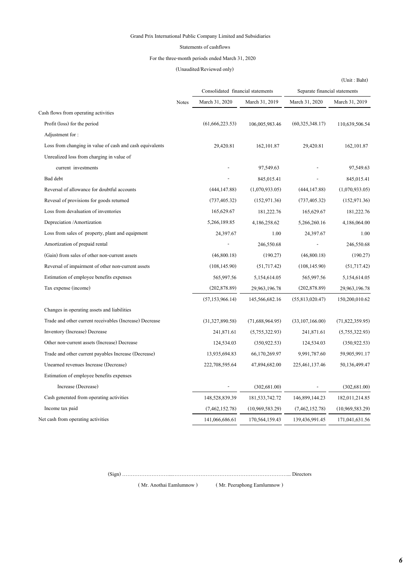#### Statements of cashflows

### For the three-month periods ended March 31, 2020

# (Unaudited/Reviewed only)

|                                                          |              |                                   |                   |                               | (Unit: Baht)    |  |
|----------------------------------------------------------|--------------|-----------------------------------|-------------------|-------------------------------|-----------------|--|
|                                                          |              | Consolidated financial statements |                   | Separate financial statements |                 |  |
|                                                          | <b>Notes</b> | March 31, 2020                    | March 31, 2019    | March 31, 2020                | March 31, 2019  |  |
| Cash flows from operating activities                     |              |                                   |                   |                               |                 |  |
| Profit (loss) for the period                             |              | (61, 666, 223.53)                 | 106,005,983.46    | (60, 325, 348.17)             | 110,639,506.54  |  |
| Adjustment for:                                          |              |                                   |                   |                               |                 |  |
| Loss from changing in value of cash and cash equivalents |              | 29,420.81                         | 162, 101.87       | 29,420.81                     | 162, 101.87     |  |
| Unrealized loss from charging in value of                |              |                                   |                   |                               |                 |  |
| current investments                                      |              |                                   | 97,549.63         |                               | 97,549.63       |  |
| Bad debt                                                 |              |                                   | 845,015.41        |                               | 845,015.41      |  |
| Reversal of allowance for doubtful accounts              |              | (444, 147.88)                     | (1,070,933.05)    | (444, 147.88)                 | (1,070,933.05)  |  |
| Revesal of provisions for goods returned                 |              | (737, 405.32)                     | (152, 971.36)     | (737, 405.32)                 | (152, 971.36)   |  |
| Loss from devaluation of inventories                     |              | 165,629.67                        | 181,222.76        | 165,629.67                    | 181,222.76      |  |
| Depreciation / Amortization                              |              | 5,266,189.85                      | 4,186,258.62      | 5,266,260.16                  | 4,186,064.00    |  |
| Loss from sales of property, plant and equipment         |              | 24,397.67                         | 1.00              | 24,397.67                     | 1.00            |  |
| Amortization of prepaid rental                           |              |                                   | 246,550.68        |                               | 246,550.68      |  |
| (Gain) from sales of other non-current assets            |              | (46,800.18)                       | (190.27)          | (46,800.18)                   | (190.27)        |  |
| Reversal of impairment of other non-current assets       |              | (108, 145.90)                     | (51,717.42)       | (108, 145.90)                 | (51,717.42)     |  |
| Estimation of employee benefits expenses                 |              | 565,997.56                        | 5,154,614.05      | 565,997.56                    | 5,154,614.05    |  |
| Tax expense (income)                                     |              | (202, 878.89)                     | 29,963,196.78     | (202, 878.89)                 | 29,963,196.78   |  |
|                                                          |              | (57, 153, 966.14)                 | 145,566,682.16    | (55,813,020.47)               | 150,200,010.62  |  |
| Changes in operating assets and liabilities              |              |                                   |                   |                               |                 |  |
| Trade and other current receivables (Increase) Decrease  |              | (31,327,890.58)                   | (71,688,964.95)   | (33,107,166.00)               | (71,822,359.95) |  |
| Inventory (Increase) Decrease                            |              | 241,871.61                        | (5,755,322.93)    | 241,871.61                    | (5,755,322.93)  |  |
| Other non-current assets (Increase) Decrease             |              | 124,534.03                        | (350, 922.53)     | 124,534.03                    | (350, 922.53)   |  |
| Trade and other current payables Increase (Decrease)     |              | 13,935,694.83                     | 66,170,269.97     | 9,991,787.60                  | 59,905,991.17   |  |
| Unearned revenues Increase (Decrease)                    |              | 222,708,595.64                    | 47,894,682.00     | 225, 461, 137. 46             | 50,136,499.47   |  |
| Estimation of employee benefits expenses                 |              |                                   |                   |                               |                 |  |
| Increase (Decrease)                                      |              |                                   | (302, 681.00)     |                               | (302, 681.00)   |  |
| Cash generated from operating activities                 |              | 148,528,839.39                    | 181, 533, 742. 72 | 146,899,144.23                | 182,011,214.85  |  |
| Income tax paid                                          |              | (7,462,152.78)                    | (10,969,583.29)   | (7, 462, 152.78)              | (10,969,583.29) |  |
| Net cash from operating activities                       |              | 141,066,686.61                    | 170,564,159.43    | 139,436,991.45                | 171,041,631.56  |  |

(Sign) ………………………...…………………………………………………………... Directors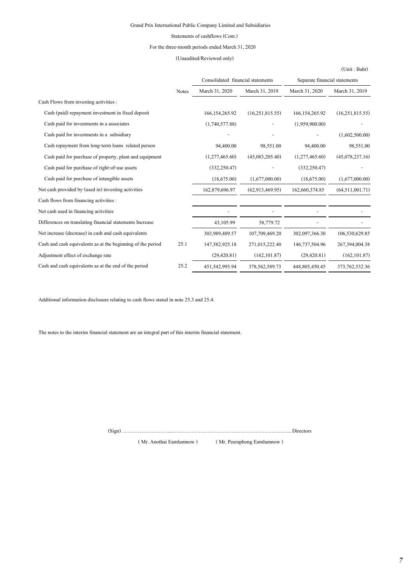### Statements of cashflows (Cont.)

### For the three-month periods ended March 31, 2020

### (Unaudited/Reviewed only)

|                                                             |              |                   | Consolidated financial statements |                   | Separate financial statements |  |
|-------------------------------------------------------------|--------------|-------------------|-----------------------------------|-------------------|-------------------------------|--|
|                                                             | <b>Notes</b> | March 31, 2020    | March 31, 2019                    | March 31, 2020    | March 31, 2019                |  |
| Cash Flows from investing activities :                      |              |                   |                                   |                   |                               |  |
| Cash (paid) repayment investment in fixed deposit           |              | 166, 154, 265, 92 | (16,251,815.55)                   | 166, 154, 265, 92 | (16,251,815.55)               |  |
| Cash paid for investments in a associates                   |              | (1,740,577.88)    |                                   | (1,959,900,00)    |                               |  |
| Cash paid for investments in a subsidiary                   |              |                   |                                   |                   | (1,602,500.00)                |  |
| Cash repayment from long-term loans related person          |              | 94,400.00         | 98,551.00                         | 94,400.00         | 98,551.00                     |  |
| Cash paid for purchase of property, plant and equipment     |              | (1,277,465.60)    | (45,083,205.40)                   | (1,277,465.60)    | (45,078,237.16)               |  |
| Cash paid for purchase of right-of-use assets               |              | (332, 250.47)     |                                   | (332, 250.47)     |                               |  |
| Cash paid for purchase of intangible assets                 |              | (18,675.00)       | (1,677,000.00)                    | (18,675,00)       | (1,677,000.00)                |  |
| Net cash provided by (used in) investing activities         |              | 162,879,696.97    | (62,913,469,95)                   | 162,660,374.85    | (64,511,001.71)               |  |
| Cash flows from financing activities :                      |              |                   |                                   |                   |                               |  |
| Net cash used in financing activities                       |              |                   |                                   |                   |                               |  |
| Differences on translating financial statements Increase    |              | 43,105.99         | 58,779.72                         |                   |                               |  |
| Net increase (decrease) in cash and cash equivalents        |              | 303,989,489.57    | 107,709,469.20                    | 302,097,366.30    | 106,530,629.85                |  |
| Cash and cash equivalents as at the beginning of the period | 25.1         | 147,582,925.18    | 271,015,222.40                    | 146,737,504.96    | 267,394,004.38                |  |
| Adjustment effect of exchange rate                          |              | (29, 420.81)      | (162, 101.87)                     | (29, 420.81)      | (162, 101.87)                 |  |
| Cash and cash equivalents as at the end of the period       | 25.2         | 451,542,993.94    | 378,562,589.73                    | 448,805,450.45    | 373, 762, 532. 36             |  |

Additional information disclosure relating to cash flows stated in note 25.3 and 25.4.

The notes to the interim financial statement are an integral part of this interim financial statement.

(Sign) ………………………...…………………………………………………………... Directors

( Mr. Anothai Eamlumnow ) ( Mr. Peeraphong Eamlumnow )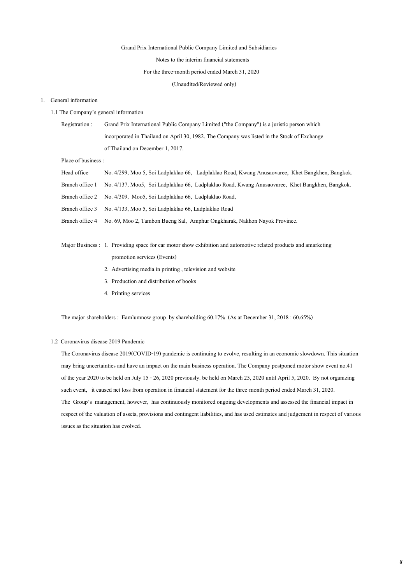Notes to the interim financial statements

#### For the three-month period ended March 31, 2020

(Unaudited/Reviewed only)

#### 1. General information

1.1 The Company's general information

Registration : Grand Prix International Public Company Limited ("the Company") is a juristic person which incorporated in Thailand on April 30, 1982. The Company was listed in the Stock of Exchange of Thailand on December 1, 2017.

Place of business :

| Head office     | No. 4/299, Moo 5, Soi Ladplaklao 66, Ladplaklao Road, Kwang Anusaovaree, Khet Bangkhen, Bangkok. |
|-----------------|--------------------------------------------------------------------------------------------------|
| Branch office 1 | No. 4/137, Moo5, Soi Ladplaklao 66, Ladplaklao Road, Kwang Anusaovaree, Khet Bangkhen, Bangkok.  |
|                 | Branch office 2 No. 4/309, Moo5, Soi Ladplaklao 66, Ladplaklao Road,                             |
|                 | Branch office 3 No. 4/133, Moo 5, Soi Ladplaklao 66, Ladplaklao Road                             |
|                 | Branch office 4 No. 69, Moo 2, Tambon Bueng Sal, Amphur Ongkharak, Nakhon Nayok Province.        |

- Major Business : 1. Providing space for car motor show exhibition and automotive related products and amarketing promotion services (Events)
	- 2. Advertising media in printing , television and website
	- 3. Production and distribution of books
	- 4. Printing services

The major shareholders : Eamlumnow group by shareholding 60.17% (As at December 31, 2018 : 60.65%)

### 1.2 Coronavirus disease 2019 Pandemic

The Coronavirus disease 2019(COVID-19) pandemic is continuing to evolve, resulting in an economic slowdown. This situation may bring uncertainties and have an impact on the main business operation. The Company postponed motor show event no.41 of the year 2020 to be held on July 15 - 26, 2020 previously. be held on March 25, 2020 until April 5, 2020. By not organizing such event, it caused net loss from operation in financial statement for the three-month period ended March 31, 2020. The Group's management, however, has continuously monitored ongoing developments and assessed the financial impact in respect of the valuation of assets, provisions and contingent liabilities, and has used estimates and judgement in respect of various issues as the situation has evolved.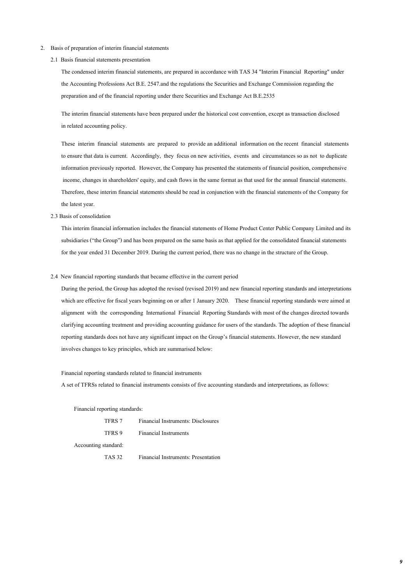- 2. Basis of preparation of interim financial statements
	- 2.1 Basis financial statements presentation

The condensed interim financial statements, are prepared in accordance with TAS 34 "Interim Financial Reporting" under the Accounting Professions Act B.E. 2547.and the regulations the Securities and Exchange Commission regarding the preparation and of the financial reporting under there Securities and Exchange Act B.E.2535

The interim financial statements have been prepared under the historical cost convention, except as transaction disclosed in related accounting policy.

These interim financial statements are prepared to provide an additional information on the recent financial statements to ensure that data is current. Accordingly, they focus on new activities, events and circumstances so as not to duplicate information previously reported. However, the Company has presented the statements of financial position, comprehensive income, changes in shareholders' equity, and cash flows in the same format as that used for the annual financial statements. Therefore, these interim financial statements should be read in conjunction with the financial statements of the Company for the latest year.

2.3 Basis of consolidation

This interim financial information includes the financial statements of Home Product Center Public Company Limited and its subsidiaries ("the Group") and has been prepared on the same basis as that applied for the consolidated financial statements for the year ended 31 December 2019. During the current period, there was no change in the structure of the Group.

2.4 New financial reporting standards that became effective in the current period

During the period, the Group has adopted the revised (revised 2019) and new financial reporting standards and interpretations which are effective for fiscal years beginning on or after 1 January 2020. These financial reporting standards were aimed at alignment with the corresponding International Financial Reporting Standards with most of the changes directed towards clarifying accounting treatment and providing accounting guidance for users of the standards. The adoption of these financial reporting standards does not have any significant impact on the Group's financial statements. However, the new standard involves changes to key principles, which are summarised below:

### Financial reporting standards related to financial instruments

A set of TFRSs related to financial instruments consists of five accounting standards and interpretations, as follows:

Financial reporting standards:

| TFRS 7               | Financial Instruments: Disclosures |
|----------------------|------------------------------------|
| TFRS 9               | <b>Financial Instruments</b>       |
| Accounting standard: |                                    |

TAS 32 Financial Instruments: Presentation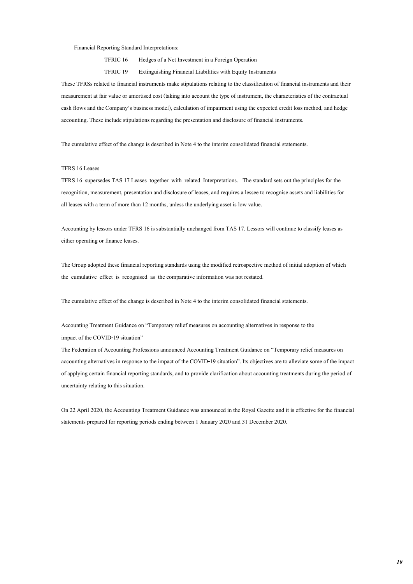#### Financial Reporting Standard Interpretations:

TFRIC 16 Hedges of a Net Investment in a Foreign Operation

TFRIC 19 Extinguishing Financial Liabilities with Equity Instruments

These TFRSs related to financial instruments make stipulations relating to the classification of financial instruments and their measurement at fair value or amortised cost (taking into account the type of instrument, the characteristics of the contractual cash flows and the Company's business model), calculation of impairment using the expected credit loss method, and hedge accounting. These include stipulations regarding the presentation and disclosure of financial instruments.

The cumulative effect of the change is described in Note 4 to the interim consolidated financial statements.

### TFRS 16 Leases

TFRS 16 supersedes TAS 17 Leases together with related Interpretations. The standard sets out the principles for the recognition, measurement, presentation and disclosure of leases, and requires a lessee to recognise assets and liabilities for all leases with a term of more than 12 months, unless the underlying asset is low value.

Accounting by lessors under TFRS 16 is substantially unchanged from TAS 17. Lessors will continue to classify leases as either operating or finance leases.

The Group adopted these financial reporting standards using the modified retrospective method of initial adoption of which the cumulative effect is recognised as the comparative information was not restated.

The cumulative effect of the change is described in Note 4 to the interim consolidated financial statements.

Accounting Treatment Guidance on "Temporary relief measures on accounting alternatives in response to the impact of the COVID-19 situation"

The Federation of Accounting Professions announced Accounting Treatment Guidance on "Temporary relief measures on accounting alternatives in response to the impact of the COVID-19 situation". Its objectives are to alleviate some of the impact of applying certain financial reporting standards, and to provide clarification about accounting treatments during the period of uncertainty relating to this situation.

On 22 April 2020, the Accounting Treatment Guidance was announced in the Royal Gazette and it is effective for the financial statements prepared for reporting periods ending between 1 January 2020 and 31 December 2020.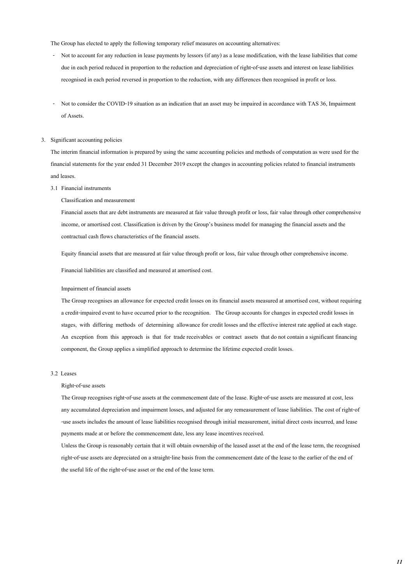The Group has elected to apply the following temporary relief measures on accounting alternatives:

- Not to account for any reduction in lease payments by lessors (if any) as a lease modification, with the lease liabilities that come due in each period reduced in proportion to the reduction and depreciation of right-of-use assets and interest on lease liabilities recognised in each period reversed in proportion to the reduction, with any differences then recognised in profit or loss.
- Not to consider the COVID-19 situation as an indication that an asset may be impaired in accordance with TAS 36, Impairment of Assets.

### 3. Significant accounting policies

The interim financial information is prepared by using the same accounting policies and methods of computation as were used for the financial statements for the year ended 31 December 2019 except the changes in accounting policies related to financial instruments and leases.

#### 3.1 Financial instruments

Classification and measurement

Financial assets that are debt instruments are measured at fair value through profit or loss, fair value through other comprehensive income, or amortised cost. Classification is driven by the Group's business model for managing the financial assets and the contractual cash flows characteristics of the financial assets.

Equity financial assets that are measured at fair value through profit or loss, fair value through other comprehensive income.

Financial liabilities are classified and measured at amortised cost.

#### Impairment of financial assets

The Group recognises an allowance for expected credit losses on its financial assets measured at amortised cost, without requiring a credit-impaired event to have occurred prior to the recognition. The Group accounts for changes in expected credit losses in stages, with differing methods of determining allowance for credit losses and the effective interest rate applied at each stage. An exception from this approach is that for trade receivables or contract assets that do not contain a significant financing component, the Group applies a simplified approach to determine the lifetime expected credit losses.

### 3.2 Leases

#### Right-of-use assets

The Group recognises right-of-use assets at the commencement date of the lease. Right-of-use assets are measured at cost, less any accumulated depreciation and impairment losses, and adjusted for any remeasurement of lease liabilities. The cost of right-of -use assets includes the amount of lease liabilities recognised through initial measurement, initial direct costs incurred, and lease payments made at or before the commencement date, less any lease incentives received.

Unless the Group is reasonably certain that it will obtain ownership of the leased asset at the end of the lease term, the recognised right-of-use assets are depreciated on a straight-line basis from the commencement date of the lease to the earlier of the end of the useful life of the right-of-use asset or the end of the lease term.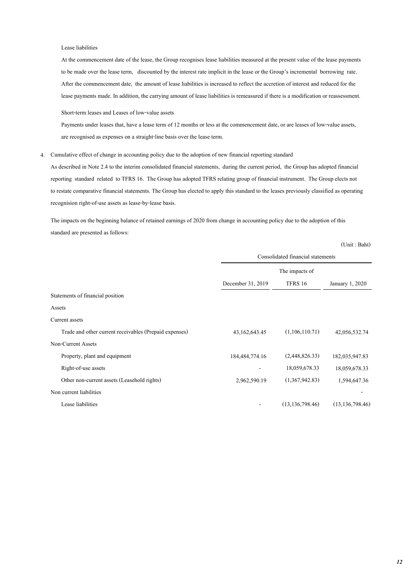#### Lease liabilities

At the commencement date of the lease, the Group recognises lease liabilities measured at the present value of the lease payments to be made over the lease term, discounted by the interest rate implicit in the lease or the Group's incremental borrowing rate. After the commencement date, the amount of lease liabilities is increased to reflect the accretion of interest and reduced for the lease payments made. In addition, the carrying amount of lease liabilities is remeasured if there is a modification or reassessment.

Short-term leases and Leases of low-value assets

Payments under leases that, have a lease term of 12 months or less at the commencement date, or are leases of low-value assets, are recognised as expenses on a straight-line basis over the lease term.

4. Cumulative effect of change in accounting policy due to the adoption of new financial reporting standard

As described in Note 2.4 to the interim consolidated financial statements, during the current period, the Group has adopted financial reporting standard related to TFRS 16. The Group has adopted TFRS relating group of financial instrument. The Group elects not to restate comparative financial statements. The Group has elected to apply this standard to the leases previously classified as operating recognision right-of-use assets as lease-by-lease basis.

The impacts on the beginning balance of retained earnings of 2020 from change in accounting policy due to the adoption of this standard are presented as follows:

|                                                        | Consolidated financial statements |                   |                   |  |
|--------------------------------------------------------|-----------------------------------|-------------------|-------------------|--|
|                                                        |                                   | The impacts of    |                   |  |
|                                                        | December 31, 2019                 | TFRS 16           | January 1, 2020   |  |
| Statements of financial position                       |                                   |                   |                   |  |
| Assets                                                 |                                   |                   |                   |  |
| Current assets                                         |                                   |                   |                   |  |
| Trade and other current receivables (Prepaid expenses) | 43, 162, 643. 45                  | (1,106,110.71)    | 42,056,532.74     |  |
| Non-Current Assets                                     |                                   |                   |                   |  |
| Property, plant and equipment                          | 184, 484, 774. 16                 | (2,448,826.33)    | 182,035,947.83    |  |
| Right-of-use assets                                    |                                   | 18,059,678.33     | 18,059,678.33     |  |
| Other non-current assets (Leasehold rights)            | 2,962,590.19                      | (1,367,942.83)    | 1,594,647.36      |  |
| Non current liabilities                                |                                   |                   |                   |  |
| Lease liabilities                                      |                                   | (13, 136, 798.46) | (13, 136, 798.46) |  |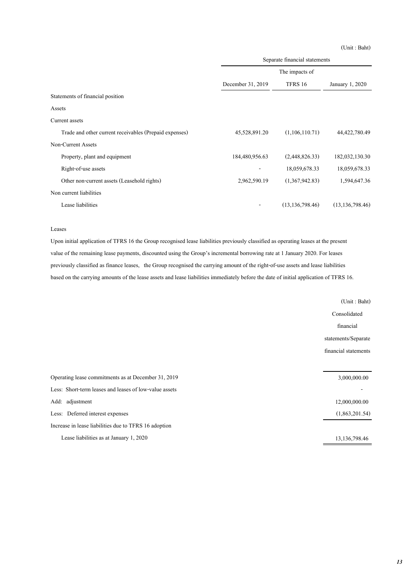(Unit : Baht)

|                                                        | Separate financial statements |                   |                   |  |  |
|--------------------------------------------------------|-------------------------------|-------------------|-------------------|--|--|
|                                                        | The impacts of                |                   |                   |  |  |
|                                                        | December 31, 2019             | TFRS 16           | January 1, 2020   |  |  |
| Statements of financial position                       |                               |                   |                   |  |  |
| Assets                                                 |                               |                   |                   |  |  |
| Current assets                                         |                               |                   |                   |  |  |
| Trade and other current receivables (Prepaid expenses) | 45,528,891.20                 | (1,106,110.71)    | 44,422,780.49     |  |  |
| Non-Current Assets                                     |                               |                   |                   |  |  |
| Property, plant and equipment                          | 184,480,956.63                | (2,448,826,33)    | 182,032,130.30    |  |  |
| Right-of-use assets                                    |                               | 18,059,678.33     | 18,059,678.33     |  |  |
| Other non-current assets (Leasehold rights)            | 2,962,590.19                  | (1,367,942.83)    | 1,594,647.36      |  |  |
| Non current liabilities                                |                               |                   |                   |  |  |
| Lease liabilities                                      |                               | (13, 136, 798.46) | (13, 136, 798.46) |  |  |

#### Leases

Upon initial application of TFRS 16 the Group recognised lease liabilities previously classified as operating leases at the present value of the remaining lease payments, discounted using the Group's incremental borrowing rate at 1 January 2020. For leases previously classified as finance leases, the Group recognised the carrying amount of the right-of-use assets and lease liabilities based on the carrying amounts of the lease assets and lease liabilities immediately before the date of initial application of TFRS 16.

| (Unit: Baht)         |
|----------------------|
| Consolidated         |
| financial            |
| statements/Separate  |
| financial statements |
|                      |
| 3,000,000.00         |
|                      |
| 12,000,000.00        |
| (1,863,201.54)       |
|                      |
| 13, 136, 798. 46     |
|                      |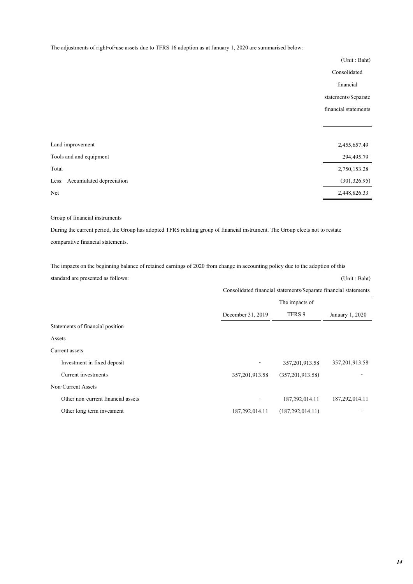The adjustments of right-of-use assets due to TFRS 16 adoption as at January 1, 2020 are summarised below:

|                                | (Unit: Baht)         |
|--------------------------------|----------------------|
|                                | Consolidated         |
|                                | financial            |
|                                | statements/Separate  |
|                                | financial statements |
|                                |                      |
|                                |                      |
| Land improvement               | 2,455,657.49         |
| Tools and and equipment        | 294,495.79           |
| Total                          | 2,750,153.28         |
| Less: Accumulated depreciation | (301, 326.95)        |
| Net                            | 2,448,826.33         |

# Group of financial instruments

During the current period, the Group has adopted TFRS relating group of financial instrument. The Group elects not to restate comparative financial statements.

The impacts on the beginning balance of retained earnings of 2020 from change in accounting policy due to the adoption of this standard are presented as follows: (Unit : Baht)

|                                    | Consolidated financial statements/Separate financial statements |                    |                  |  |
|------------------------------------|-----------------------------------------------------------------|--------------------|------------------|--|
|                                    |                                                                 | The impacts of     |                  |  |
|                                    | TFRS 9<br>December 31, 2019                                     |                    | January 1, 2020  |  |
| Statements of financial position   |                                                                 |                    |                  |  |
| Assets                             |                                                                 |                    |                  |  |
| Current assets                     |                                                                 |                    |                  |  |
| Investment in fixed deposit        |                                                                 | 357, 201, 913.58   | 357, 201, 913.58 |  |
| Current investments                | 357, 201, 913.58                                                | (357,201,913.58)   |                  |  |
| Non-Current Assets                 |                                                                 |                    |                  |  |
| Other non-current financial assets |                                                                 | 187,292,014.11     | 187,292,014.11   |  |
| Other long-term invesment          | 187,292,014.11                                                  | (187, 292, 014.11) |                  |  |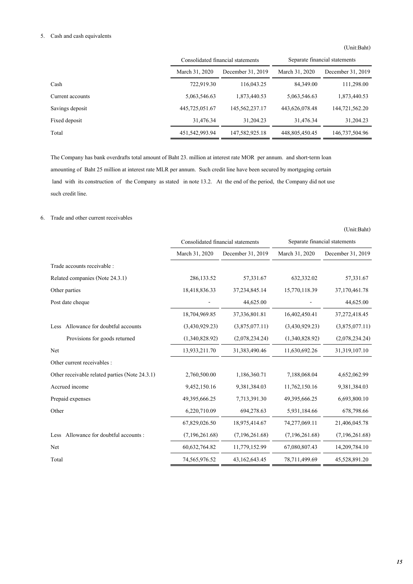# 5. Cash and cash equivalents

(Unit:Baht)

|                  |                | Consolidated financial statements | Separate financial statements |                   |  |
|------------------|----------------|-----------------------------------|-------------------------------|-------------------|--|
|                  | March 31, 2020 | December 31, 2019                 | March 31, 2020                | December 31, 2019 |  |
| Cash             | 722,919.30     | 116,043.25                        | 84,349.00                     | 111,298.00        |  |
| Current accounts | 5,063,546.63   | 1,873,440.53                      | 5,063,546.63                  | 1,873,440.53      |  |
| Savings deposit  | 445,725,051.67 | 145,562,237.17                    | 443,626,078.48                | 144,721,562,20    |  |
| Fixed deposit    | 31,476.34      | 31,204.23                         | 31,476.34                     | 31,204.23         |  |
| Total            | 451,542,993.94 | 147,582,925.18                    | 448,805,450.45                | 146,737,504.96    |  |

The Company has bank overdrafts total amount of Baht 23. million at interest rate MOR per annum. and short-term loan amounting of Baht 25 million at interest rate MLR per annum. Such credit line have been secured by mortgaging certain land with its construction of the Company as stated in note 13.2. At the end of the period, the Company did not use such credit line.

# 6. Trade and other current receivables

|                                                |                | Consolidated financial statements | Separate financial statements |                   |  |
|------------------------------------------------|----------------|-----------------------------------|-------------------------------|-------------------|--|
|                                                | March 31, 2020 | December 31, 2019                 | March 31, 2020                | December 31, 2019 |  |
| Trade accounts receivable :                    |                |                                   |                               |                   |  |
| Related companies (Note 24.3.1)                | 286,133.52     | 57,331.67                         | 632,332.02                    | 57,331.67         |  |
| Other parties                                  | 18,418,836.33  | 37, 234, 845. 14                  | 15,770,118.39                 | 37,170,461.78     |  |
| Post date cheque                               |                | 44,625.00                         |                               | 44,625.00         |  |
|                                                | 18,704,969.85  | 37,336,801.81                     | 16,402,450.41                 | 37,272,418.45     |  |
| Allowance for doubtful accounts<br>Less        | (3,430,929.23) | (3,875,077.11)                    | (3,430,929.23)                | (3,875,077,11)    |  |
| Provisions for goods returned                  | (1,340,828.92) | (2,078,234.24)                    | (1,340,828.92)                | (2,078,234,24)    |  |
| Net                                            | 13,933,211.70  | 31,383,490.46                     | 11,630,692.26                 | 31,319,107.10     |  |
| Other current receivables :                    |                |                                   |                               |                   |  |
| Other receivable related parties (Note 24.3.1) | 2,760,500.00   | 1,186,360.71                      | 7,188,068.04                  | 4,652,062.99      |  |
| Accrued income                                 | 9,452,150.16   | 9,381,384.03                      | 11,762,150.16                 | 9,381,384.03      |  |
| Prepaid expenses                               | 49,395,666.25  | 7,713,391.30                      | 49,395,666.25                 | 6,693,800.10      |  |
| Other                                          | 6,220,710.09   | 694,278.63                        | 5,931,184.66                  | 678,798.66        |  |
|                                                | 67,829,026.50  | 18,975,414.67                     | 74,277,069.11                 | 21,406,045.78     |  |
| Less Allowance for doubtful accounts:          | (7,196,261.68) | (7,196,261.68)                    | (7,196,261.68)                | (7,196,261.68)    |  |
| Net                                            | 60,632,764.82  | 11,779,152.99                     | 67,080,807.43                 | 14,209,784.10     |  |
| Total                                          | 74,565,976.52  | 43,162,643.45                     | 78,711,499.69                 | 45,528,891.20     |  |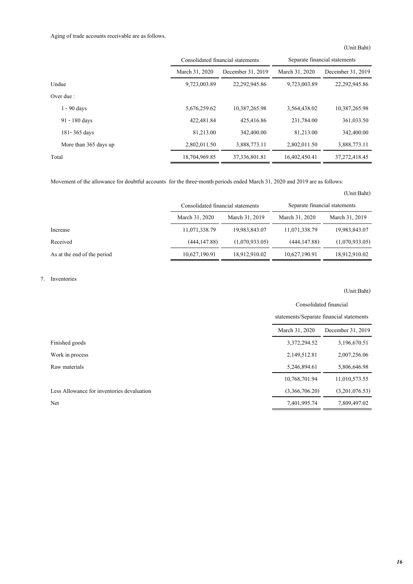# Aging of trade accounts receivable are as follows.

(Unit:Baht)

|                       |                | Consolidated financial statements | Separate financial statements |                   |  |
|-----------------------|----------------|-----------------------------------|-------------------------------|-------------------|--|
|                       | March 31, 2020 | December 31, 2019                 | March 31, 2020                | December 31, 2019 |  |
| Undue                 | 9,723,003.89   | 22,292,945.86                     | 9,723,003.89                  | 22, 292, 945.86   |  |
| Over due :            |                |                                   |                               |                   |  |
| $1 - 90$ days         | 5,676,259.62   | 10,387,265.98                     | 3,564,438.02                  | 10,387,265.98     |  |
| 91 - 180 days         | 422,481.84     | 425,416.86                        | 231,784.00                    | 361,033.50        |  |
| 181-365 days          | 81,213.00      | 342,400.00                        | 81,213.00                     | 342,400.00        |  |
| More than 365 days up | 2,802,011.50   | 3,888,773.11                      | 2,802,011.50                  | 3,888,773.11      |  |
| Total                 | 18,704,969.85  | 37, 336, 801, 81                  | 16,402,450.41                 | 37, 272, 418, 45  |  |

Movement of the allowance for doubtful accounts for the three-month periods ended March 31, 2020 and 2019 are as follows:

(Unit:Baht)

|                             | Consolidated financial statements |                | Separate financial statements |                |  |
|-----------------------------|-----------------------------------|----------------|-------------------------------|----------------|--|
|                             | March 31, 2020                    | March 31, 2019 | March 31, 2020                | March 31, 2019 |  |
| Increase                    | 11,071,338.79                     | 19,983,843.07  | 11,071,338.79                 | 19,983,843.07  |  |
| Received                    | (444, 147, 88)                    | (1,070,933,05) | (444, 147, 88)                | (1,070,933.05) |  |
| As at the end of the period | 10,627,190.91                     | 18,912,910.02  | 10,627,190.91                 | 18,912,910.02  |  |

# 7. Inventories

|                                            | Consolidated financial                   |                |  |
|--------------------------------------------|------------------------------------------|----------------|--|
|                                            | statements/Separate financial statements |                |  |
|                                            | March 31, 2020<br>December 31, 2019      |                |  |
| Finished goods                             | 3,372,294.52                             | 3,196,670.51   |  |
| Work in process                            | 2,149,512.81                             | 2,007,256.06   |  |
| Raw materials                              | 5,246,894.61                             | 5,806,646.98   |  |
|                                            | 10,768,701.94                            | 11,010,573.55  |  |
| Less Allowance for inventories devaluation | (3,366,706,20)                           | (3,201,076.53) |  |
| Net                                        | 7,401,995.74                             | 7,809,497.02   |  |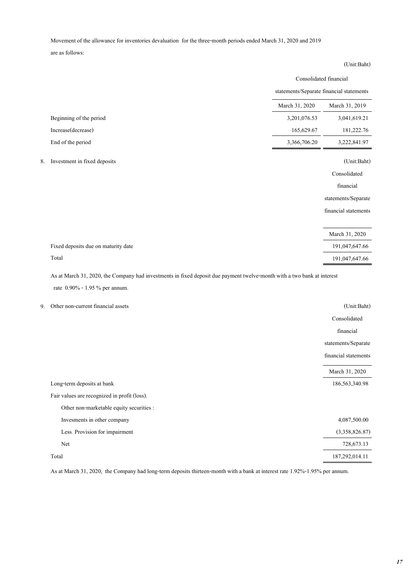Movement of the allowance for inventories devaluation for the three-month periods ended March 31, 2020 and 2019

are as follows:

# March 31, 2020 March 31, 2019 Beginning of the period 3,201,076.53 3,041,619.21 Increase(decrease) 165,629.67 181,222.76 End of the period 3,366,706.20 3,222,841.97 8. Investment in fixed deposits (Unit:Baht) Consolidated financial statements/Separate financial statements March 31, 2020 Fixed deposits due on maturity date 191,047,647.66 Total 191,047,647.66 Consolidated financial statements/Separate financial statements

As at March 31, 2020, the Company had investments in fixed deposit due payment twelve-month with a two bank at interest

rate 0.90% - 1.95 % per annum.

<sup>9.</sup> Other non-current financial assets (Unit:Baht)

|                                              | Consolidated<br>financial<br>statements/Separate |
|----------------------------------------------|--------------------------------------------------|
|                                              | financial statements                             |
|                                              | March 31, 2020                                   |
| Long-term deposits at bank                   | 186, 563, 340. 98                                |
| Fair values are recognized in profit (loss). |                                                  |
| Other non-marketable equity securities :     |                                                  |
| Invesments in other company                  | 4,087,500.00                                     |
| Less Provision for impairment                | (3,358,826.87)                                   |
| Net                                          | 728,673.13                                       |
| Total                                        | 187,292,014.11                                   |

As at March 31, 2020, the Company had long-term deposits thirteen-month with a bank at interest rate 1.92%-1.95% per annum.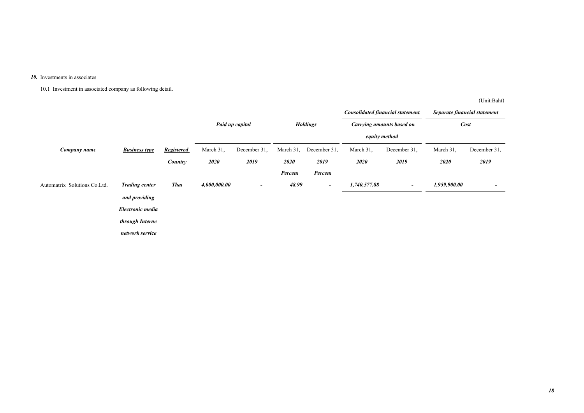#### *10.* Investments in associates

10.1 Investment in associated company as following detail.

|                              |                       |                   |              |                          |           |                          |               | <b>Consolidated financial statement</b> | Separate financial statement |                          |
|------------------------------|-----------------------|-------------------|--------------|--------------------------|-----------|--------------------------|---------------|-----------------------------------------|------------------------------|--------------------------|
|                              |                       |                   |              | Paid up capital          |           | <b>Holdings</b>          |               | <b>Carrying amounts based on</b>        | <b>Cost</b>                  |                          |
|                              |                       |                   |              |                          |           |                          | equity method |                                         |                              |                          |
| <b>Company name</b>          | <b>Business type</b>  | <b>Registered</b> | March 31,    | December 31,             | March 31, | December 31,             | March 31,     | December 31,                            | March 31,                    | December 31,             |
|                              |                       | Country           | 2020         | 2019                     | 2020      | 2019                     | 2020          | 2019                                    | 2020                         | 2019                     |
|                              |                       |                   |              |                          | Percent   | Percent                  |               |                                         |                              |                          |
| Automatrix Solutions Co.Ltd. | <b>Trading center</b> | <b>Thai</b>       | 4,000,000.00 | $\overline{\phantom{a}}$ | 48.99     | $\overline{\phantom{a}}$ | 1,740,577.88  | $\overline{\phantom{a}}$                | 1,959,900.00                 | $\overline{\phantom{0}}$ |
|                              | and providing         |                   |              |                          |           |                          |               |                                         |                              |                          |
|                              | Electronic media      |                   |              |                          |           |                          |               |                                         |                              |                          |
|                              | through Internet      |                   |              |                          |           |                          |               |                                         |                              |                          |
|                              | network service       |                   |              |                          |           |                          |               |                                         |                              |                          |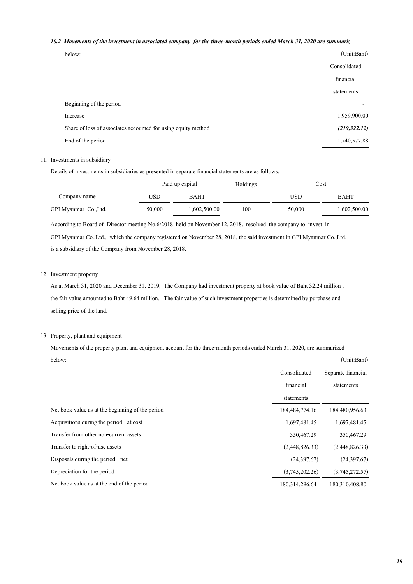# *10.2 Movements of the investment in associated company for the three-month periods ended March 31, 2020 are summariz*

| pelow |  |
|-------|--|
|       |  |

| below:                                                        | (Unit:Baht)   |
|---------------------------------------------------------------|---------------|
|                                                               | Consolidated  |
|                                                               | financial     |
|                                                               | statements    |
| Beginning of the period                                       |               |
| Increase                                                      | 1,959,900.00  |
| Share of loss of associates accounted for using equity method | (219, 322.12) |
| End of the period                                             | 1,740,577.88  |

# 11. Investments in subsidiary

Details of investments in subsidiaries as presented in separate financial statements are as follows:

|                      | Paid up capital |              | Holdings |        | Cost         |
|----------------------|-----------------|--------------|----------|--------|--------------|
| Company name         | USD             | BAHT         |          | USD    | BAHT         |
| GPI Myanmar Co.,Ltd. | 50,000          | 1,602,500.00 | 100      | 50,000 | 1,602,500.00 |

According to Board of Director meeting No.6/2018 held on November 12, 2018, resolved the company to invest in

GPI Myanmar Co.,Ltd., which the company registered on November 28, 2018, the said investment in GPI Myanmar Co.,Ltd. is a subsidiary of the Company from November 28, 2018.

### 12. Investment property

As at March 31, 2020 and December 31, 2019, The Company had investment property at book value of Baht 32.24 million , the fair value amounted to Baht 49.64 million. The fair value of such investment properties is determined by purchase and selling price of the land.

### 13. Property, plant and equipment

Movements of the property plant and equipment account for the three-month periods ended March 31, 2020, are summarized below: (Unit:Baht)

|                                                  | Consolidated   | Separate financial |
|--------------------------------------------------|----------------|--------------------|
|                                                  | financial      | statements         |
|                                                  | statements     |                    |
| Net book value as at the beginning of the period | 184,484,774.16 | 184,480,956.63     |
| Acquisitions during the period - at cost         | 1,697,481.45   | 1,697,481.45       |
| Transfer from other non-current assets           | 350,467.29     | 350,467.29         |
| Transfer to right-of-use assets                  | (2,448,826,33) | (2,448,826.33)     |
| Disposals during the period - net                | (24,397.67)    | (24,397.67)        |
| Depreciation for the period                      | (3,745,202.26) | (3,745,272.57)     |
| Net book value as at the end of the period       | 180,314,296.64 | 180,310,408.80     |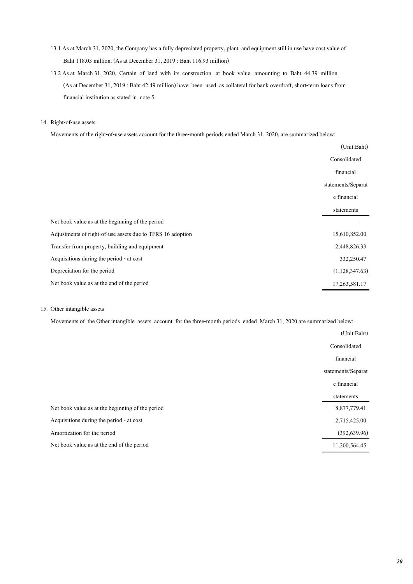- 13.1 As at March 31, 2020, the Company has a fully depreciated property, plant and equipment still in use have cost value of Baht 118.03 million. (As at December 31, 2019 : Baht 116.93 million)
- 13.2 As at March 31, 2020, Certain of land with its construction at book value amounting to Baht 44.39 million (As at December 31, 2019 : Baht 42.49 million) have been used as collateral for bank overdraft, short-term loans from financial institution as stated in note 5.

#### 14. Right-of-use assets

Movements of the right-of-use assets account for the three-month periods ended March 31, 2020, are summarized below:

|                                                            | (Unit:Baht)        |
|------------------------------------------------------------|--------------------|
|                                                            | Consolidated       |
|                                                            | financial          |
|                                                            | statements/Separat |
|                                                            | e financial        |
|                                                            | statements         |
| Net book value as at the beginning of the period           |                    |
| Adjustments of right-of-use assets due to TFRS 16 adoption | 15,610,852.00      |
| Transfer from property, building and equipment             | 2,448,826.33       |
| Acquisitions during the period - at cost                   | 332,250.47         |
| Depreciation for the period                                | (1,128,347.63)     |
| Net book value as at the end of the period                 | 17,263,581.17      |

### 15. Other intangible assets

Movements of the Other intangible assets account for the three-month periods ended March 31, 2020 are summarized below:

|                                                  | (Unit:Baht)        |
|--------------------------------------------------|--------------------|
|                                                  | Consolidated       |
|                                                  | financial          |
|                                                  | statements/Separat |
|                                                  | e financial        |
|                                                  | statements         |
| Net book value as at the beginning of the period | 8,877,779.41       |
| Acquisitions during the period - at cost         | 2,715,425.00       |
| Amortization for the period                      | (392, 639.96)      |
| Net book value as at the end of the period       | 11,200,564.45      |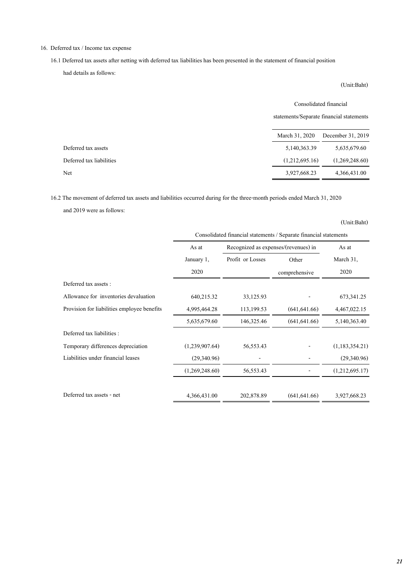# 16. Deferred tax / Income tax expense

16.1 Deferred tax assets after netting with deferred tax liabilities has been presented in the statement of financial position

had details as follows:

(Unit:Baht)

|                          |                | Consolidated financial                   |  |
|--------------------------|----------------|------------------------------------------|--|
|                          |                | statements/Separate financial statements |  |
|                          | March 31, 2020 | December 31, 2019                        |  |
| Deferred tax assets      | 5,140,363.39   | 5,635,679.60                             |  |
| Deferred tax liabilities | (1,212,695,16) | (1,269,248,60)                           |  |

Net 3,927,668.23 4,366,431.00

16.2 The movement of deferred tax assets and liabilities occurred during for the three-month periods ended March 31, 2020

and 2019 were as follows:

| Consolidated financial statements / Separate financial statements |                                      |                |                |  |
|-------------------------------------------------------------------|--------------------------------------|----------------|----------------|--|
| As at                                                             | Recognized as expenses/(revenues) in |                | As at          |  |
| January 1,                                                        | Profit or Losses                     | Other          | March 31,      |  |
| 2020                                                              |                                      | comprehensive  | 2020           |  |
|                                                                   |                                      |                |                |  |
| 640,215.32                                                        | 33,125.93                            |                | 673, 341. 25   |  |
| 4,995,464.28                                                      | 113,199.53                           | (641, 641, 66) | 4,467,022.15   |  |
| 5,635,679.60                                                      | 146,325.46                           | (641, 641.66)  | 5,140,363.40   |  |
|                                                                   |                                      |                |                |  |
| (1,239,907.64)                                                    | 56, 553. 43                          |                | (1,183,354.21) |  |
| (29,340,96)                                                       |                                      |                | (29,340.96)    |  |
| (1,269,248.60)                                                    | 56, 553. 43                          |                | (1,212,695.17) |  |
| 4,366,431.00                                                      | 202,878.89                           | (641, 641, 66) | 3,927,668.23   |  |
|                                                                   |                                      |                |                |  |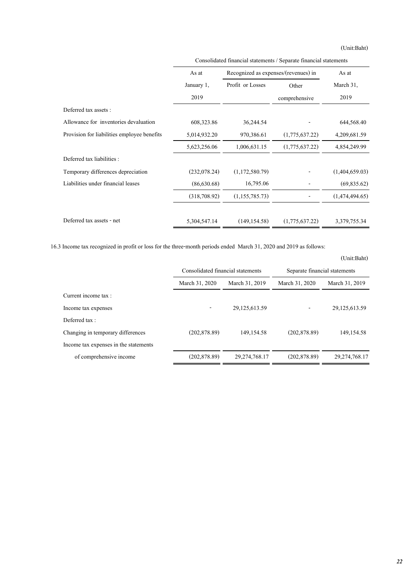(Unit:Baht)

|                                             | As at        | Recognized as expenses/(revenues) in |                | As at          |
|---------------------------------------------|--------------|--------------------------------------|----------------|----------------|
|                                             | January 1,   | Profit or Losses                     | Other          | March 31,      |
|                                             | 2019         |                                      | comprehensive  | 2019           |
| Deferred tax assets :                       |              |                                      |                |                |
| Allowance for inventories devaluation       | 608,323.86   | 36,244.54                            |                | 644,568.40     |
| Provision for liabilities employee benefits | 5,014,932.20 | 970,386.61                           | (1,775,637.22) | 4,209,681.59   |
|                                             | 5,623,256.06 | 1,006,631.15                         | (1,775,637.22) | 4,854,249.99   |
| Deferred tax liabilities :                  |              |                                      |                |                |
| Temporary differences depreciation          | (232,078.24) | (1,172,580.79)                       |                | (1,404,659.03) |
| Liabilities under financial leases          | (86,630.68)  | 16,795.06                            |                | (69, 835.62)   |
|                                             | (318,708.92) | (1, 155, 785, 73)                    |                | (1,474,494.65) |
| Deferred tax assets - net                   | 5,304,547.14 | (149, 154.58)                        | (1,775,637.22) | 3,379,755.34   |

Consolidated financial statements / Separate financial statements

16.3 Income tax recognized in profit or loss for the three-month periods ended March 31, 2020 and 2019 as follows:

|                                       |                                   |                |                               | (Unit:Baht)      |
|---------------------------------------|-----------------------------------|----------------|-------------------------------|------------------|
|                                       | Consolidated financial statements |                | Separate financial statements |                  |
|                                       | March 31, 2020                    | March 31, 2019 | March 31, 2020                | March 31, 2019   |
| Current income tax :                  |                                   |                |                               |                  |
| Income tax expenses                   |                                   | 29,125,613.59  |                               | 29, 125, 613.59  |
| Deferred tax:                         |                                   |                |                               |                  |
| Changing in temporary differences     | (202, 878, 89)                    | 149, 154.58    | (202, 878, 89)                | 149, 154.58      |
| Income tax expenses in the statements |                                   |                |                               |                  |
| of comprehensive income               | (202, 878, 89)                    | 29,274,768.17  | (202, 878, 89)                | 29, 274, 768, 17 |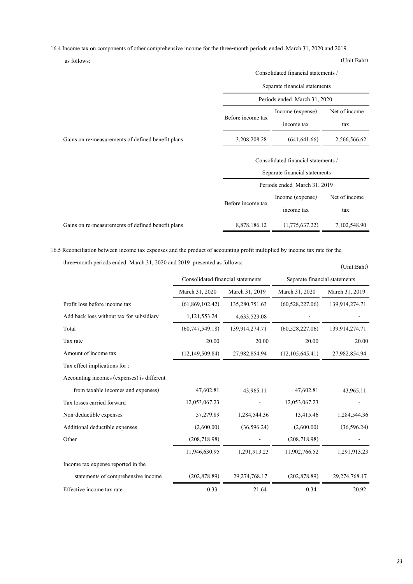16.4 Income tax on components of other comprehensive income for the three-month periods ended March 31, 2020 and 2019

as follows: (Unit:Baht)

(Unit:Baht)

|                                                   | Consolidated financial statements / |                               |               |
|---------------------------------------------------|-------------------------------------|-------------------------------|---------------|
|                                                   | Separate financial statements       |                               |               |
|                                                   | Periods ended March 31, 2020        |                               |               |
|                                                   | Income (expense)                    |                               |               |
|                                                   | Before income tax                   | income tax                    | tax           |
| Gains on re-measurements of defined benefit plans | 3,208,208.28                        | (641, 641.66)                 | 2,566,566.62  |
|                                                   | Consolidated financial statements / |                               |               |
|                                                   |                                     | Separate financial statements |               |
|                                                   |                                     | Periods ended March 31, 2019  |               |
|                                                   | Before income tax                   | Income (expense)              | Net of income |
|                                                   |                                     | income tax                    | tax           |
| Gains on re-measurements of defined benefit plans | 8,878,186.12                        | (1,775,637.22)                | 7,102,548.90  |

16.5 Reconciliation between income tax expenses and the product of accounting profit multiplied by income tax rate for the three-month periods ended March 31, 2020 and 2019 presented as follows:

|                                            | Consolidated financial statements |                  | Separate financial statements |                  |
|--------------------------------------------|-----------------------------------|------------------|-------------------------------|------------------|
|                                            | March 31, 2020                    | March 31, 2019   | March 31, 2020                | March 31, 2019   |
| Profit loss before income tax              | (61,869,102.42)                   | 135,280,751.63   | (60, 528, 227.06)             | 139,914,274.71   |
| Add back loss without tax for subsidiary   | 1,121,553.24                      | 4,633,523.08     |                               |                  |
| Total                                      | (60, 747, 549.18)                 | 139,914,274.71   | (60, 528, 227.06)             | 139,914,274.71   |
| Tax rate                                   | 20.00                             | 20.00            | 20.00                         | 20.00            |
| Amount of income tax                       | (12, 149, 509.84)                 | 27,982,854.94    | (12,105,645.41)               | 27,982,854.94    |
| Tax effect implications for:               |                                   |                  |                               |                  |
| Accounting incomes (expenses) is different |                                   |                  |                               |                  |
| from taxable incomes and expenses)         | 47,602.81                         | 43,965.11        | 47,602.81                     | 43,965.11        |
| Tax losses carried forward                 | 12,053,067.23                     |                  | 12,053,067.23                 |                  |
| Non-deductible expenses                    | 57,279.89                         | 1,284,544.36     | 13,415.46                     | 1,284,544.36     |
| Additional deductible expenses             | (2,600.00)                        | (36, 596.24)     | (2,600.00)                    | (36, 596.24)     |
| Other                                      | (208, 718.98)                     |                  | (208, 718.98)                 |                  |
|                                            | 11,946,630.95                     | 1,291,913.23     | 11,902,766.52                 | 1,291,913.23     |
| Income tax expense reported in the         |                                   |                  |                               |                  |
| statements of comprehensive income         | (202, 878.89)                     | 29, 274, 768. 17 | (202, 878.89)                 | 29, 274, 768. 17 |
| Effective income tax rate                  | 0.33                              | 21.64            | 0.34                          | 20.92            |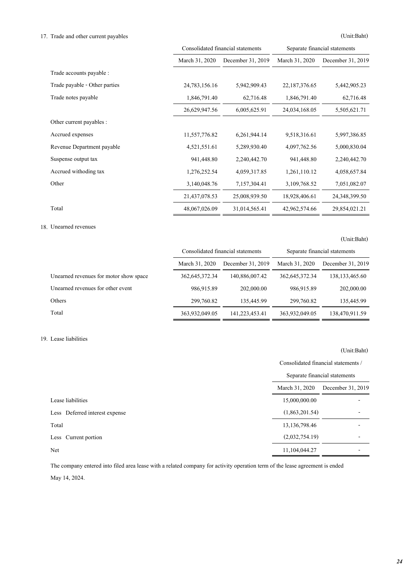# 17. Trade and other current payables (Unit:Baht)

|                               | Consolidated financial statements |                   | Separate financial statements |                   |
|-------------------------------|-----------------------------------|-------------------|-------------------------------|-------------------|
|                               | March 31, 2020                    | December 31, 2019 | March 31, 2020                | December 31, 2019 |
| Trade accounts payable :      |                                   |                   |                               |                   |
| Trade payable - Other parties | 24,783,156.16                     | 5,942,909.43      | 22,187,376.65                 | 5,442,905.23      |
| Trade notes payable           | 1,846,791.40                      | 62,716.48         | 1,846,791.40                  | 62,716.48         |
|                               | 26,629,947.56                     | 6,005,625.91      | 24,034,168.05                 | 5,505,621.71      |
| Other current payables :      |                                   |                   |                               |                   |
| Accrued expenses              | 11,557,776.82                     | 6,261,944.14      | 9,518,316.61                  | 5,997,386.85      |
| Revenue Department payable    | 4,521,551.61                      | 5,289,930.40      | 4,097,762.56                  | 5,000,830.04      |
| Suspense output tax           | 941,448.80                        | 2,240,442.70      | 941,448.80                    | 2,240,442.70      |
| Accrued withoding tax         | 1,276,252.54                      | 4,059,317.85      | 1,261,110.12                  | 4,058,657.84      |
| Other                         | 3,140,048.76                      | 7,157,304.41      | 3,109,768.52                  | 7,051,082.07      |
|                               | 21,437,078.53                     | 25,008,939.50     | 18,928,406.61                 | 24, 348, 399. 50  |
| Total                         | 48,067,026.09                     | 31,014,565.41     | 42,962,574.66                 | 29,854,021.21     |

# 18. Unearned revenues

(Unit:Baht)

|                                        | Consolidated financial statements |                   | Separate financial statements |                   |
|----------------------------------------|-----------------------------------|-------------------|-------------------------------|-------------------|
|                                        | March 31, 2020                    | December 31, 2019 | March 31, 2020                | December 31, 2019 |
| Unearned revenues for motor show space | 362, 645, 372, 34                 | 140,886,007.42    | 362, 645, 372, 34             | 138, 133, 465, 60 |
| Unearned revenues for other event      | 986,915.89                        | 202,000.00        | 986,915.89                    | 202,000.00        |
| Others                                 | 299,760.82                        | 135,445.99        | 299,760.82                    | 135,445.99        |
| Total                                  | 363,932,049.05                    | 141,223,453.41    | 363,932,049.05                | 138,470,911.59    |

# 19. Lease liabilities

# (Unit:Baht)

Consolidated financial statements /

|                                | Separate financial statements |                   |
|--------------------------------|-------------------------------|-------------------|
|                                | March 31, 2020                | December 31, 2019 |
| Lease liabilities              | 15,000,000.00                 |                   |
| Less Deferred interest expense | (1,863,201.54)                |                   |
| Total                          | 13, 136, 798. 46              |                   |
| Less Current portion           | (2,032,754.19)                |                   |
| Net                            | 11,104,044.27                 |                   |

The company entered into filed area lease with a related company for activity operation term of the lease agreement is ended

May 14, 2024.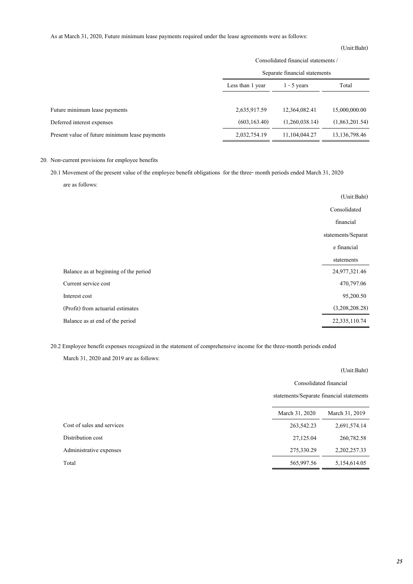# As at March 31, 2020, Future minimum lease payments required under the lease agreements were as follows:

#### (Unit:Baht)

|                                                | Consolidated financial statements /<br>Separate financial statements |                |                  |  |
|------------------------------------------------|----------------------------------------------------------------------|----------------|------------------|--|
|                                                |                                                                      |                |                  |  |
|                                                | Less than 1 year                                                     | $1 - 5$ years  | Total            |  |
|                                                |                                                                      |                |                  |  |
| Future minimum lease payments                  | 2,635,917.59                                                         | 12,364,082.41  | 15,000,000.00    |  |
| Deferred interest expenses                     | (603, 163, 40)                                                       | (1,260,038,14) | (1,863,201,54)   |  |
| Present value of future minimum lease payments | 2,032,754.19                                                         | 11,104,044.27  | 13, 136, 798, 46 |  |

# 20. Non-current provisions for employee benefits

20.1 Movement of the present value of the employee benefit obligations for the three- month periods ended March 31, 2020

are as follows:

|                                       | (Unit:Baht)        |
|---------------------------------------|--------------------|
|                                       | Consolidated       |
|                                       | financial          |
|                                       | statements/Separat |
|                                       | e financial        |
|                                       | statements         |
| Balance as at beginning of the period | 24,977,321.46      |
| Current service cost                  | 470,797.06         |
| Interest cost                         | 95,200.50          |
| (Profit) from actuarial estimates     | (3,208,208.28)     |
| Balance as at end of the period       | 22,335,110.74      |

20.2 Employee benefit expenses recognized in the statement of comprehensive income for the three-month periods ended

March 31, 2020 and 2019 are as follows:

|                            | (Unit:Baht)                              |                |  |
|----------------------------|------------------------------------------|----------------|--|
|                            | Consolidated financial                   |                |  |
|                            | statements/Separate financial statements |                |  |
|                            | March 31, 2020                           | March 31, 2019 |  |
| Cost of sales and services | 263,542.23                               | 2,691,574.14   |  |
| Distribution cost          | 27,125.04                                | 260,782.58     |  |
| Administrative expenses    | 275,330.29                               | 2,202,257.33   |  |
| Total                      | 565,997.56                               | 5,154,614.05   |  |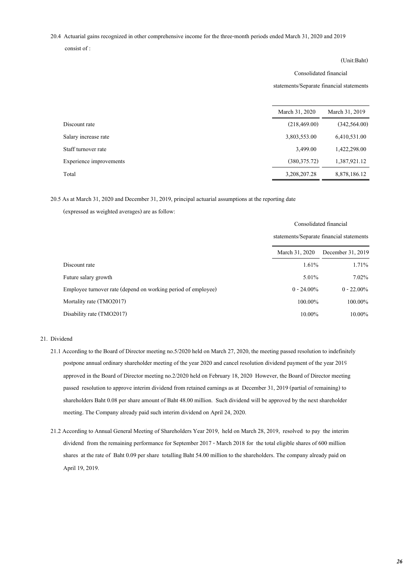20.4 Actuarial gains recognized in other comprehensive income for the three-month periods ended March 31, 2020 and 2019

consist of :

### (Unit:Baht)

#### Consolidated financial

statements/Separate financial statements

|                         | March 31, 2020 | March 31, 2019 |
|-------------------------|----------------|----------------|
| Discount rate           | (218, 469, 00) | (342, 564, 00) |
| Salary increase rate    | 3,803,553.00   | 6,410,531.00   |
| Staff turnover rate     | 3,499.00       | 1,422,298.00   |
| Experience improvements | (380, 375, 72) | 1,387,921.12   |
| Total                   | 3,208,207.28   | 8,878,186.12   |

20.5 As at March 31, 2020 and December 31, 2019, principal actuarial assumptions at the reporting date

(expressed as weighted averages) are as follow:

|                                                               | Consolidated financial                   |                   |
|---------------------------------------------------------------|------------------------------------------|-------------------|
|                                                               | statements/Separate financial statements |                   |
|                                                               | March 31, 2020                           | December 31, 2019 |
| Discount rate                                                 | 1.61%                                    | 1.71%             |
| Future salary growth                                          | 5.01%                                    | 7.02%             |
| Employee turnover rate (depend on working period of employee) | $0 - 24.00\%$                            | $0 - 22.00\%$     |
| Mortality rate (TMO2017)                                      | 100.00%                                  | 100.00%           |
| Disability rate (TMO2017)                                     | 10.00%                                   | $10.00\%$         |

### 21. Dividend

- 21.1 According to the Board of Director meeting no.5/2020 held on March 27, 2020, the meeting passed resolution to indefinitely postpone annual ordinary shareholder meeting of the year 2020 and cancel resolution dividend payment of the year 2019 approved in the Board of Director meeting no.2/2020 held on February 18, 2020 However, the Board of Director meeting passed resolution to approve interim dividend from retained earnings as at December 31, 2019 (partial of remaining) to shareholders Baht 0.08 per share amount of Baht 48.00 million. Such dividend will be approved by the next shareholder meeting. The Company already paid such interim dividend on April 24, 2020.
- 21.2 According to Annual General Meeting of Shareholders Year 2019, held on March 28, 2019, resolved to pay the interim dividend from the remaining performance for September 2017 - March 2018 for the total eligible shares of 600 million shares at the rate of Baht 0.09 per share totalling Baht 54.00 million to the shareholders. The company already paid on April 19, 2019.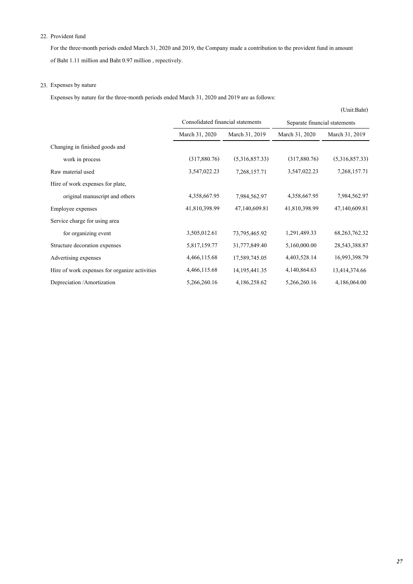# 22. Provident fund

For the three-month periods ended March 31, 2020 and 2019, the Company made a contribution to the provident fund in amount of Baht 1.11 million and Baht 0.97 million , repectively.

# 23. Expenses by nature

Expenses by nature for the three-month periods ended March 31, 2020 and 2019 are as follows:

|                                               |                                   |                  |                               | (Unit:Baht)      |
|-----------------------------------------------|-----------------------------------|------------------|-------------------------------|------------------|
|                                               | Consolidated financial statements |                  | Separate financial statements |                  |
|                                               | March 31, 2020                    | March 31, 2019   | March 31, 2020                | March 31, 2019   |
| Changing in finished goods and                |                                   |                  |                               |                  |
| work in process                               | (317,880.76)                      | (5,316,857.33)   | (317,880.76)                  | (5,316,857.33)   |
| Raw material used                             | 3,547,022.23                      | 7,268,157.71     | 3,547,022.23                  | 7,268,157.71     |
| Hire of work expenses for plate,              |                                   |                  |                               |                  |
| original manuscript and others                | 4,358,667.95                      | 7,984,562.97     | 4,358,667.95                  | 7,984,562.97     |
| Employee expenses                             | 41,810,398.99                     | 47,140,609.81    | 41,810,398.99                 | 47,140,609.81    |
| Service charge for using area                 |                                   |                  |                               |                  |
| for organizing event                          | 3,505,012.61                      | 73, 795, 465, 92 | 1,291,489.33                  | 68, 263, 762. 32 |
| Structure decoration expenses                 | 5,817,159.77                      | 31,777,849.40    | 5,160,000.00                  | 28, 543, 388. 87 |
| Advertising expenses                          | 4,466,115.68                      | 17,589,745.05    | 4,403,528.14                  | 16,993,398.79    |
| Hire of work expenses for organize activities | 4,466,115.68                      | 14, 195, 441. 35 | 4,140,864.63                  | 13,414,374.66    |
| Depreciation /Amortization                    | 5,266,260.16                      | 4,186,258.62     | 5,266,260.16                  | 4,186,064.00     |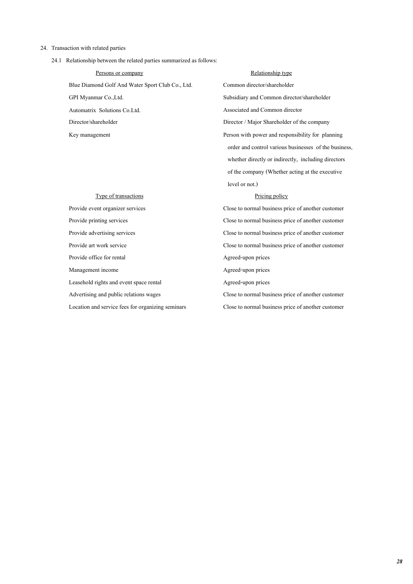#### 24. Transaction with related parties

24.1 Relationship between the related parties summarized as follows:

Blue Diamond Golf And Water Sport Club Co., Ltd. Common director/shareholder GPI Myanmar Co.,Ltd. Subsidiary and Common director/shareholder Automatrix Solutions Co.Ltd. Associated and Common director Director/shareholder Director / Major Shareholder of the company Key management Person with power and responsibility for planning Persons or company

# Relationship type

 order and control various businesses of the business, whether directly or indirectly, including directors of the company (Whether acting at the executive level or not.)

### Pricing policy

Provide event organizer services Close to normal business price of another customer Provide printing services Close to normal business price of another customer Provide advertising services Close to normal business price of another customer Provide art work service Close to normal business price of another customer Advertising and public relations wages Close to normal business price of another customer

#### Type of transactions

Provide office for rental Agreed-upon prices Management income Agreed-upon prices Leasehold rights and event space rental Agreed-upon prices Location and service fees for organizing seminars Close to normal business price of another customer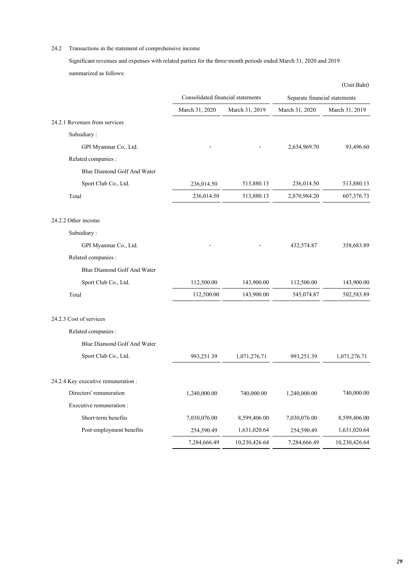# 24.2 Transactions in the statement of comprehensive income

Significant revenues and expenses with related parties for the three-month periods ended March 31, 2020 and 2019 summarized as follows:

|                                     |                                   |                |                               | (Unit:Baht)    |
|-------------------------------------|-----------------------------------|----------------|-------------------------------|----------------|
|                                     | Consolidated financial statements |                | Separate financial statements |                |
|                                     | March 31, 2020                    | March 31, 2019 | March 31, 2020                | March 31, 2019 |
| 24.2.1 Revenues from services       |                                   |                |                               |                |
| Subsidiary:                         |                                   |                |                               |                |
| GPI Myanmar Co., Ltd.               |                                   |                | 2,634,969.70                  | 93,496.60      |
| Related companies :                 |                                   |                |                               |                |
| Blue Diamond Golf And Water         |                                   |                |                               |                |
| Sport Club Co., Ltd.                | 236,014.50                        | 513,880.13     | 236,014.50                    | 513,880.13     |
| Total                               | 236,014.50                        | 513,880.13     | 2,870,984.20                  | 607,376.73     |
| 24.2.2 Other income                 |                                   |                |                               |                |
| Subsidiary:                         |                                   |                |                               |                |
| GPI Myanmar Co., Ltd.               |                                   |                | 432,574.87                    | 358,683.89     |
| Related companies :                 |                                   |                |                               |                |
| Blue Diamond Golf And Water         |                                   |                |                               |                |
| Sport Club Co., Ltd.                | 112,500.00                        | 143,900.00     | 112,500.00                    | 143,900.00     |
| Total                               | 112,500.00                        | 143,900.00     | 545,074.87                    | 502,583.89     |
| 24.2.3 Cost of services             |                                   |                |                               |                |
| Related companies :                 |                                   |                |                               |                |
| Blue Diamond Golf And Water         |                                   |                |                               |                |
| Sport Club Co., Ltd.                | 993,251.39                        | 1,071,276.71   | 993,251.39                    | 1,071,276.71   |
| 24.2.4 Key executive remuneration : |                                   |                |                               |                |
| Directors' remuneration             | 1,240,000.00                      | 740,000.00     | 1,240,000.00                  | 740,000.00     |
| Executive remuneration :            |                                   |                |                               |                |
| Short-term benefits                 | 7,030,076.00                      | 8,599,406.00   | 7,030,076.00                  | 8,599,406.00   |
| Post-employment benefits            | 254,590.49                        | 1,631,020.64   | 254,590.49                    | 1,631,020.64   |
|                                     | 7,284,666.49                      | 10,230,426.64  | 7,284,666.49                  | 10,230,426.64  |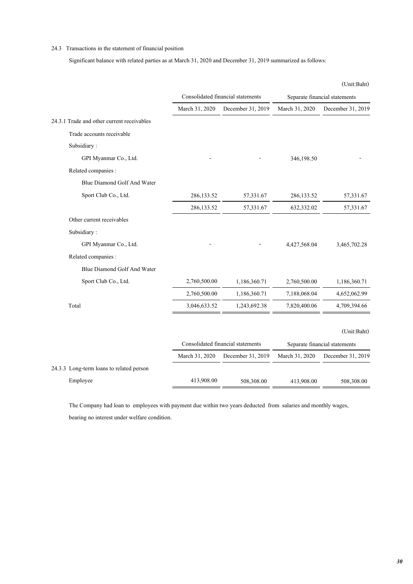### 24.3 Transactions in the statement of financial position

Significant balance with related parties as at March 31, 2020 and December 31, 2019 summarized as follows:

|                                            |                |                                   |                | (Unit:Baht)                   |
|--------------------------------------------|----------------|-----------------------------------|----------------|-------------------------------|
|                                            |                | Consolidated financial statements |                | Separate financial statements |
|                                            | March 31, 2020 | December 31, 2019                 | March 31, 2020 | December 31, 2019             |
| 24.3.1 Trade and other current receivables |                |                                   |                |                               |
| Trade accounts receivable                  |                |                                   |                |                               |
| Subsidiary:                                |                |                                   |                |                               |
| GPI Myanmar Co., Ltd.                      |                |                                   | 346,198.50     |                               |
| Related companies :                        |                |                                   |                |                               |
| Blue Diamond Golf And Water                |                |                                   |                |                               |
| Sport Club Co., Ltd.                       | 286,133.52     | 57,331.67                         | 286,133.52     | 57,331.67                     |
|                                            | 286,133.52     | 57,331.67                         | 632,332.02     | 57,331.67                     |
| Other current receivables                  |                |                                   |                |                               |
| Subsidiary:                                |                |                                   |                |                               |
| GPI Myanmar Co., Ltd.                      |                |                                   | 4,427,568.04   | 3,465,702.28                  |
| Related companies :                        |                |                                   |                |                               |
| Blue Diamond Golf And Water                |                |                                   |                |                               |
| Sport Club Co., Ltd.                       | 2,760,500.00   | 1,186,360.71                      | 2,760,500.00   | 1,186,360.71                  |
|                                            | 2,760,500.00   | 1,186,360.71                      | 7,188,068.04   | 4,652,062.99                  |
| Total                                      | 3,046,633.52   | 1,243,692.38                      | 7,820,400.06   | 4,709,394.66                  |
|                                            |                |                                   |                | (Unit:Baht)                   |
|                                            |                | Consolidated financial statements |                | Separate financial statements |
|                                            | March 31, 2020 | December 31, 2019                 | March 31, 2020 | December 31, 2019             |
| 24.3.3 Long-term loans to related person   |                |                                   |                |                               |
| Employee                                   | 413,908.00     | 508,308.00                        | 413,908.00     | 508,308.00                    |

The Company had loan to employees with payment due within two years deducted from salaries and monthly wages, bearing no interest under welfare condition.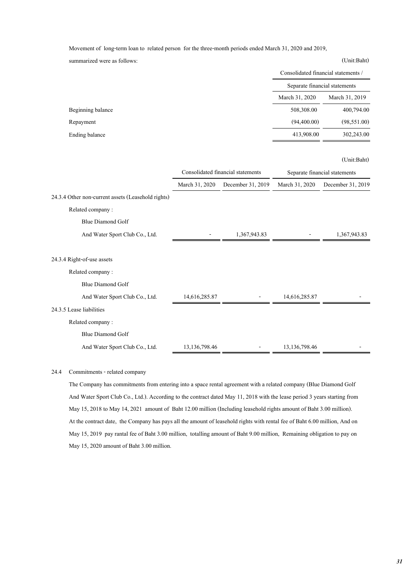Movement of long-term loan to related person for the three-month periods ended March 31, 2020 and 2019,

summarized were as follows: (Unit:Baht) March 31, 2020 March 31, 2019 Beginning balance 508,308.00 400,794.00 Repayment (94,400.00) (98,551.00) Ending balance 413,908.00 302,243.00 Separate financial statements Consolidated financial statements /

### (Unit:Baht)

|                                                    | Consolidated financial statements |                   | Separate financial statements |                   |
|----------------------------------------------------|-----------------------------------|-------------------|-------------------------------|-------------------|
|                                                    | March 31, 2020                    | December 31, 2019 | March 31, 2020                | December 31, 2019 |
| 24.3.4 Other non-current assets (Leasehold rights) |                                   |                   |                               |                   |
| Related company:                                   |                                   |                   |                               |                   |
| Blue Diamond Golf                                  |                                   |                   |                               |                   |
| And Water Sport Club Co., Ltd.                     |                                   | 1,367,943.83      |                               | 1,367,943.83      |
|                                                    |                                   |                   |                               |                   |
| 24.3.4 Right-of-use assets                         |                                   |                   |                               |                   |
| Related company:                                   |                                   |                   |                               |                   |
| <b>Blue Diamond Golf</b>                           |                                   |                   |                               |                   |
| And Water Sport Club Co., Ltd.                     | 14,616,285.87                     |                   | 14,616,285.87                 |                   |
| 24.3.5 Lease liabilities                           |                                   |                   |                               |                   |
| Related company:                                   |                                   |                   |                               |                   |
| <b>Blue Diamond Golf</b>                           |                                   |                   |                               |                   |
| And Water Sport Club Co., Ltd.                     | 13,136,798.46                     |                   | 13,136,798.46                 |                   |

### 24.4 Commitments - related company

The Company has commitments from entering into a space rental agreement with a related company (Blue Diamond Golf And Water Sport Club Co., Ltd.). According to the contract dated May 11, 2018 with the lease period 3 years starting from May 15, 2018 to May 14, 2021 amount of Baht 12.00 million (Including leasehold rights amount of Baht 3.00 million). At the contract date, the Company has pays all the amount of leasehold rights with rental fee of Baht 6.00 million, And on May 15, 2019 pay rantal fee of Baht 3.00 million, totalling amount of Baht 9.00 million, Remaining obligation to pay on May 15, 2020 amount of Baht 3.00 million.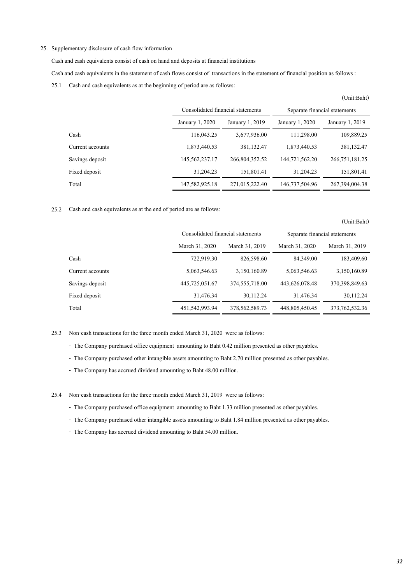### 25. Supplementary disclosure of cash flow information

Cash and cash equivalents consist of cash on hand and deposits at financial institutions

Cash and cash equivalents in the statement of cash flows consist of transactions in the statement of financial position as follows :

25.1 Cash and cash equivalents as at the beginning of period are as follows:

|                  | Consolidated financial statements |                 | Separate financial statements |                   |
|------------------|-----------------------------------|-----------------|-------------------------------|-------------------|
|                  | January 1, 2020                   | January 1, 2019 | January 1, 2020               | January 1, 2019   |
| Cash             | 116,043.25                        | 3,677,936.00    | 111,298.00                    | 109,889.25        |
| Current accounts | 1,873,440.53                      | 381,132.47      | 1,873,440.53                  | 381, 132, 47      |
| Savings deposit  | 145,562,237.17                    | 266,804,352.52  | 144,721,562.20                | 266, 751, 181. 25 |
| Fixed deposit    | 31,204.23                         | 151,801.41      | 31,204.23                     | 151,801.41        |
| Total            | 147,582,925.18                    | 271,015,222.40  | 146,737,504.96                | 267, 394, 004. 38 |

25.2 Cash and cash equivalents as at the end of period are as follows:

|                  | Consolidated financial statements |                   | Separate financial statements |                   |
|------------------|-----------------------------------|-------------------|-------------------------------|-------------------|
|                  | March 31, 2020                    | March 31, 2019    | March 31, 2020                | March 31, 2019    |
| Cash             | 722,919.30                        | 826,598.60        | 84,349.00                     | 183,409.60        |
| Current accounts | 5,063,546.63                      | 3,150,160.89      | 5,063,546.63                  | 3,150,160.89      |
| Savings deposit  | 445,725,051.67                    | 374,555,718.00    | 443,626,078.48                | 370,398,849.63    |
| Fixed deposit    | 31,476.34                         | 30,112,24         | 31,476.34                     | 30,112.24         |
| Total            | 451,542,993.94                    | 378, 562, 589, 73 | 448,805,450.45                | 373, 762, 532, 36 |

25.3 Non-cash transactions for the three-month ended March 31, 2020 were as follows:

- The Company purchased office equipment amounting to Baht 0.42 million presented as other payables.

- The Company purchased other intangible assets amounting to Baht 2.70 million presented as other payables.

- The Company has accrued dividend amounting to Baht 48.00 million.

25.4 Non-cash transactions for the three-month ended March 31, 2019 were as follows:

- The Company purchased office equipment amounting to Baht 1.33 million presented as other payables.

- The Company purchased other intangible assets amounting to Baht 1.84 million presented as other payables.

- The Company has accrued dividend amounting to Baht 54.00 million.

(Unit:Baht)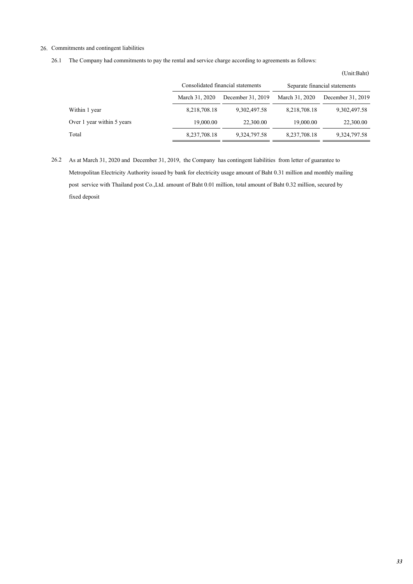### 26. Commitments and contingent liabilities

26.1 The Company had commitments to pay the rental and service charge according to agreements as follows:

|                            | Consolidated financial statements |                   | Separate financial statements |                   |
|----------------------------|-----------------------------------|-------------------|-------------------------------|-------------------|
|                            | March 31, 2020                    | December 31, 2019 | March 31, 2020                | December 31, 2019 |
| Within 1 year              | 8,218,708.18                      | 9,302,497.58      | 8,218,708.18                  | 9,302,497.58      |
| Over 1 year within 5 years | 19,000.00                         | 22,300.00         | 19,000.00                     | 22,300.00         |
| Total                      | 8,237,708.18                      | 9,324,797.58      | 8,237,708.18                  | 9,324,797.58      |

26.2 As at March 31, 2020 and December 31, 2019, the Company has contingent liabilities from letter of guarantee to Metropolitan Electricity Authority issued by bank for electricity usage amount of Baht 0.31 million and monthly mailing post service with Thailand post Co.,Ltd. amount of Baht 0.01 million, total amount of Baht 0.32 million, secured by fixed deposit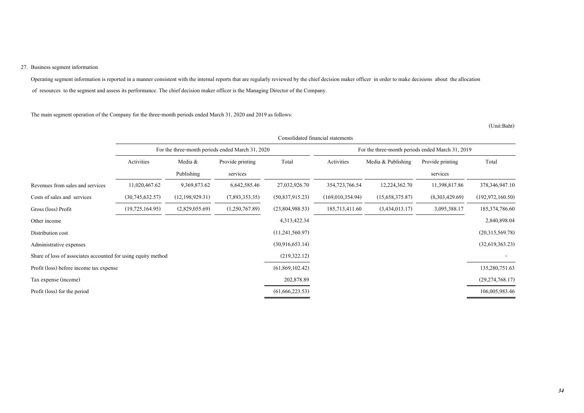### 27. Business segment information

Operating segment information is reported in a manner consistent with the internal reports that are regularly reviewed by the chief decision maker officer in order to make decisions about the allocation of resources to the segment and assess its performance. The chief decision maker officer is the Managing Director of the Company.

The main segment operation of the Company for the three-month periods ended March 31, 2020 and 2019 as follows:

|                                                               | Consolidated financial statements                |                   |                  |                   |                                                  |                    |                  |                    |
|---------------------------------------------------------------|--------------------------------------------------|-------------------|------------------|-------------------|--------------------------------------------------|--------------------|------------------|--------------------|
|                                                               | For the three-month periods ended March 31, 2020 |                   |                  |                   | For the three-month periods ended March 31, 2019 |                    |                  |                    |
|                                                               | Activities                                       | Media &           | Provide printing | Total             | Activities                                       | Media & Publishing | Provide printing | Total              |
|                                                               |                                                  | Publishing        | services         |                   |                                                  |                    | services         |                    |
| Revenues from sales and services                              | 11,020,467.62                                    | 9,369,873.62      | 6,642,585.46     | 27,032,926.70     | 354,723,766.54                                   | 12,224,362.70      | 11,398,817.86    | 378, 346, 947. 10  |
| Costs of sales and services                                   | (30,745,632.57)                                  | (12, 198, 929.31) | (7,893,353.35)   | (50, 837, 915.23) | (169,010,354.94)                                 | (15,658,375.87)    | (8,303,429.69)   | (192, 972, 160.50) |
| Gross (loss) Profit                                           | (19, 725, 164.95)                                | (2,829,055.69)    | (1,250,767.89)   | (23,804,988.53)   | 185,713,411.60                                   | (3,434,013,17)     | 3,095,388.17     | 185, 374, 786.60   |
| Other income                                                  |                                                  |                   |                  | 4,313,422.34      |                                                  |                    |                  | 2,840,898.04       |
| Distribution cost                                             |                                                  |                   |                  | (11,241,560.97)   |                                                  |                    |                  | (20,315,569.78)    |
| Administrative expenses                                       |                                                  |                   |                  | (30,916,653,14)   |                                                  |                    |                  | (32,619,363,23)    |
| Share of loss of associates accounted for using equity method |                                                  |                   |                  | (219, 322.12)     |                                                  |                    |                  |                    |
| Profit (loss) before income tax expense                       |                                                  |                   |                  | (61,869,102.42)   |                                                  |                    |                  | 135,280,751.63     |
| Tax expense (income)                                          |                                                  |                   |                  | 202,878.89        |                                                  |                    |                  | (29, 274, 768, 17) |
| Profit (loss) for the period                                  |                                                  |                   |                  | (61, 666, 223.53) |                                                  |                    |                  | 106,005,983.46     |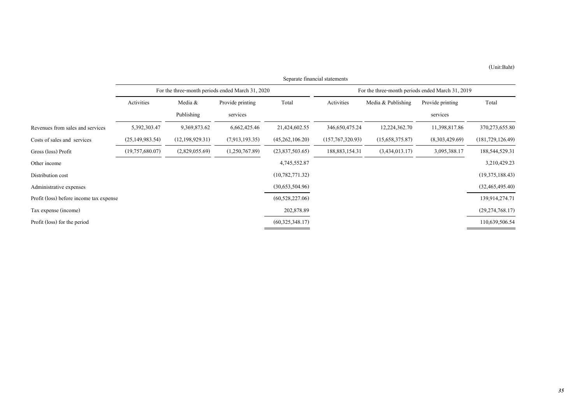|                                         | Separate financial statements                    |                   |                  |                                                  |                   |                    |                  |                    |
|-----------------------------------------|--------------------------------------------------|-------------------|------------------|--------------------------------------------------|-------------------|--------------------|------------------|--------------------|
|                                         | For the three-month periods ended March 31, 2020 |                   |                  | For the three-month periods ended March 31, 2019 |                   |                    |                  |                    |
|                                         | Activities                                       | Media &           | Provide printing | Total                                            | Activities        | Media & Publishing | Provide printing | Total              |
|                                         |                                                  | Publishing        | services         |                                                  |                   |                    | services         |                    |
| Revenues from sales and services        | 5,392,303.47                                     | 9,369,873.62      | 6,662,425.46     | 21,424,602.55                                    | 346,650,475.24    | 12,224,362.70      | 11,398,817.86    | 370, 273, 655.80   |
| Costs of sales and services             | (25, 149, 983.54)                                | (12, 198, 929.31) | (7,913,193,35)   | (45,262,106.20)                                  | (157,767,320.93)  | (15,658,375.87)    | (8,303,429.69)   | (181, 729, 126.49) |
| Gross (loss) Profit                     | (19,757,680.07)                                  | (2,829,055.69)    | (1,250,767.89)   | (23,837,503.65)                                  | 188, 883, 154. 31 | (3,434,013,17)     | 3,095,388.17     | 188,544,529.31     |
| Other income                            |                                                  |                   |                  | 4,745,552.87                                     |                   |                    |                  | 3,210,429.23       |
| Distribution cost                       |                                                  |                   |                  | (10,782,771.32)                                  |                   |                    |                  | (19,375,188.43)    |
| Administrative expenses                 |                                                  |                   |                  | (30,653,504.96)                                  |                   |                    |                  | (32, 465, 495, 40) |
| Profit (loss) before income tax expense |                                                  |                   |                  | (60, 528, 227.06)                                |                   |                    |                  | 139,914,274.71     |
| Tax expense (income)                    |                                                  |                   |                  | 202,878.89                                       |                   |                    |                  | (29, 274, 768, 17) |
| Profit (loss) for the period            |                                                  |                   |                  | (60,325,348.17)                                  |                   |                    |                  | 110,639,506.54     |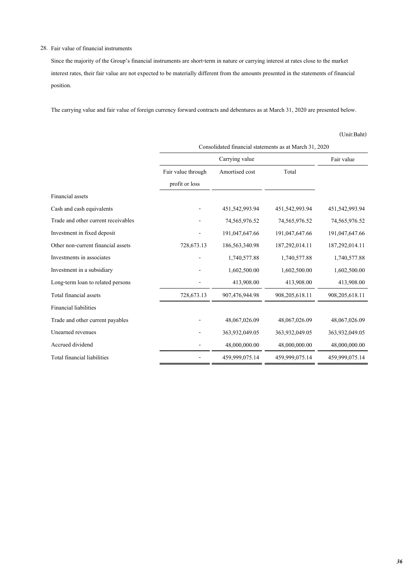### 28. Fair value of financial instruments

Since the majority of the Group's financial instruments are short-term in nature or carrying interest at rates close to the market interest rates, their fair value are not expected to be materially different from the amounts presented in the statements of financial position.

The carrying value and fair value of foreign currency forward contracts and debentures as at March 31, 2020 are presented below.

|                                     | Consolidated financial statements as at March 31, 2020 |                   |                |                |  |  |  |
|-------------------------------------|--------------------------------------------------------|-------------------|----------------|----------------|--|--|--|
|                                     |                                                        | Fair value        |                |                |  |  |  |
|                                     | Fair value through                                     | Amortised cost    | Total          |                |  |  |  |
|                                     | profit or loss                                         |                   |                |                |  |  |  |
| Financial assets                    |                                                        |                   |                |                |  |  |  |
| Cash and cash equivalents           |                                                        | 451,542,993.94    | 451,542,993.94 | 451,542,993.94 |  |  |  |
| Trade and other current receivables |                                                        | 74,565,976.52     | 74,565,976.52  | 74,565,976.52  |  |  |  |
| Investment in fixed deposit         |                                                        | 191,047,647.66    | 191,047,647.66 | 191,047,647.66 |  |  |  |
| Other non-current financial assets  | 728,673.13                                             | 186, 563, 340. 98 | 187,292,014.11 | 187,292,014.11 |  |  |  |
| Investments in associates           |                                                        | 1,740,577.88      | 1,740,577.88   | 1,740,577.88   |  |  |  |
| Investment in a subsidiary          |                                                        | 1,602,500.00      | 1,602,500.00   | 1,602,500.00   |  |  |  |
| Long-term loan to related persons   |                                                        | 413,908.00        | 413,908.00     | 413,908.00     |  |  |  |
| Total financial assets              | 728,673.13                                             | 907,476,944.98    | 908,205,618.11 | 908,205,618.11 |  |  |  |
| <b>Financial liabilities</b>        |                                                        |                   |                |                |  |  |  |
| Trade and other current payables    |                                                        | 48,067,026.09     | 48,067,026.09  | 48,067,026.09  |  |  |  |
| Unearned revenues                   |                                                        | 363,932,049.05    | 363,932,049.05 | 363,932,049.05 |  |  |  |
| Accrued dividend                    |                                                        | 48,000,000.00     | 48,000,000.00  | 48,000,000.00  |  |  |  |
| Total financial liabilities         |                                                        | 459,999,075.14    | 459,999,075.14 | 459,999,075.14 |  |  |  |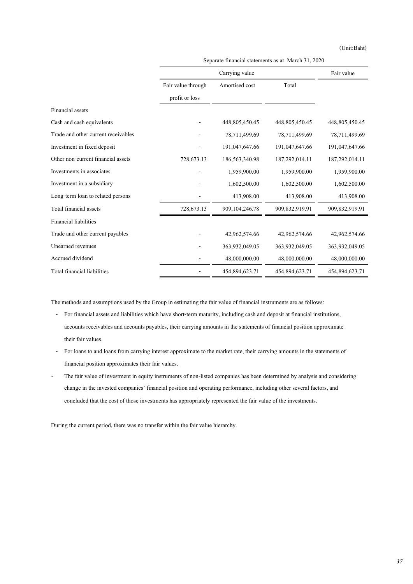(Unit:Baht)

|                                     |                    | Fair value        |                |                |
|-------------------------------------|--------------------|-------------------|----------------|----------------|
|                                     | Fair value through | Amortised cost    | Total          |                |
|                                     | profit or loss     |                   |                |                |
| Financial assets                    |                    |                   |                |                |
| Cash and cash equivalents           |                    | 448,805,450.45    | 448,805,450.45 | 448,805,450.45 |
| Trade and other current receivables |                    | 78,711,499.69     | 78,711,499.69  | 78,711,499.69  |
| Investment in fixed deposit         |                    | 191,047,647.66    | 191,047,647.66 | 191,047,647.66 |
| Other non-current financial assets  | 728,673.13         | 186,563,340.98    | 187,292,014.11 | 187,292,014.11 |
| Investments in associates           |                    | 1,959,900.00      | 1,959,900.00   | 1,959,900.00   |
| Investment in a subsidiary          |                    | 1,602,500.00      | 1,602,500.00   | 1,602,500.00   |
| Long-term loan to related persons   |                    | 413,908.00        | 413,908.00     | 413,908.00     |
| Total financial assets              | 728,673.13         | 909, 104, 246, 78 | 909,832,919.91 | 909,832,919.91 |
| <b>Financial liabilities</b>        |                    |                   |                |                |
| Trade and other current payables    |                    | 42,962,574.66     | 42,962,574.66  | 42,962,574.66  |
| Unearned revenues                   |                    | 363,932,049.05    | 363,932,049.05 | 363,932,049.05 |
| Accrued dividend                    |                    | 48,000,000.00     | 48,000,000.00  | 48,000,000.00  |
| Total financial liabilities         |                    | 454,894,623.71    | 454,894,623.71 | 454,894,623.71 |

Separate financial statements as at March 31, 2020

The methods and assumptions used by the Group in estimating the fair value of financial instruments are as follows:

- For financial assets and liabilities which have short-term maturity, including cash and deposit at financial institutions, accounts receivables and accounts payables, their carrying amounts in the statements of financial position approximate their fair values.
- For loans to and loans from carrying interest approximate to the market rate, their carrying amounts in the statements of financial position approximates their fair values.
- The fair value of investment in equity instruments of non-listed companies has been determined by analysis and considering change in the invested companies' financial position and operating performance, including other several factors, and concluded that the cost of those investments has appropriately represented the fair value of the investments.

During the current period, there was no transfer within the fair value hierarchy.